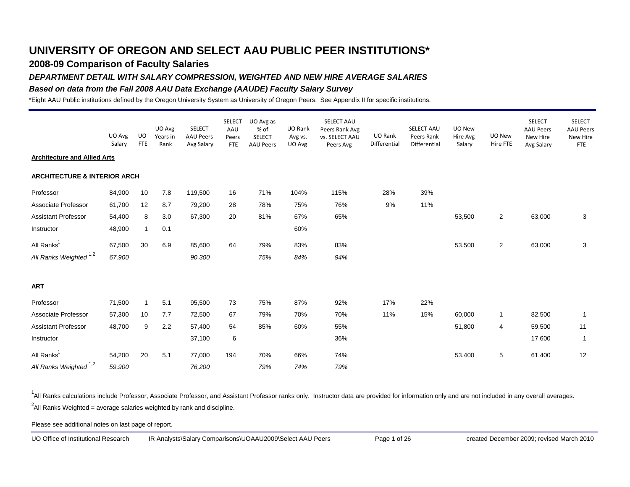## **2008-09 Comparison of Faculty Salaries**

#### *DEPARTMENT DETAIL WITH SALARY COMPRESSION, WEIGHTED AND NEW HIRE AVERAGE SALARIES*

#### *Based on data from the Fall 2008 AAU Data Exchange (AAUDE) Faculty Salary Survey*

\*Eight AAU Public institutions defined by the Oregon University System as University of Oregon Peers. See Appendix II for specific institutions.

|                                         | UO Avg<br>Salary | <b>UO</b><br><b>FTE</b> | UO Avg<br>Years in<br>Rank | <b>SELECT</b><br><b>AAU Peers</b><br>Avg Salary | <b>SELECT</b><br>AAU<br>Peers<br><b>FTE</b> | UO Avg as<br>% of<br><b>SELECT</b><br><b>AAU Peers</b> | UO Rank<br>Avg vs.<br>UO Avg | SELECT AAU<br>Peers Rank Avg<br>vs. SELECT AAU<br>Peers Avg | UO Rank<br>Differential | SELECT AAU<br>Peers Rank<br>Differential | UO New<br>Hire Avg<br>Salary | UO New<br>Hire FTE      | <b>SELECT</b><br><b>AAU Peers</b><br>New Hire<br>Avg Salary | <b>SELECT</b><br><b>AAU Peers</b><br>New Hire<br><b>FTE</b> |
|-----------------------------------------|------------------|-------------------------|----------------------------|-------------------------------------------------|---------------------------------------------|--------------------------------------------------------|------------------------------|-------------------------------------------------------------|-------------------------|------------------------------------------|------------------------------|-------------------------|-------------------------------------------------------------|-------------------------------------------------------------|
| <b>Architecture and Allied Arts</b>     |                  |                         |                            |                                                 |                                             |                                                        |                              |                                                             |                         |                                          |                              |                         |                                                             |                                                             |
| <b>ARCHITECTURE &amp; INTERIOR ARCH</b> |                  |                         |                            |                                                 |                                             |                                                        |                              |                                                             |                         |                                          |                              |                         |                                                             |                                                             |
| Professor                               | 84,900           | 10                      | 7.8                        | 119,500                                         | 16                                          | 71%                                                    | 104%                         | 115%                                                        | 28%                     | 39%                                      |                              |                         |                                                             |                                                             |
| Associate Professor                     | 61,700           | 12                      | 8.7                        | 79,200                                          | 28                                          | 78%                                                    | 75%                          | 76%                                                         | 9%                      | 11%                                      |                              |                         |                                                             |                                                             |
| Assistant Professor                     | 54,400           | 8                       | 3.0                        | 67,300                                          | 20                                          | 81%                                                    | 67%                          | 65%                                                         |                         |                                          | 53,500                       | $\overline{2}$          | 63,000                                                      | 3                                                           |
| Instructor                              | 48,900           | $\mathbf{1}$            | 0.1                        |                                                 |                                             |                                                        | 60%                          |                                                             |                         |                                          |                              |                         |                                                             |                                                             |
| All Ranks <sup>1</sup>                  | 67,500           | 30                      | 6.9                        | 85,600                                          | 64                                          | 79%                                                    | 83%                          | 83%                                                         |                         |                                          | 53,500                       | $\overline{\mathbf{c}}$ | 63,000                                                      | 3                                                           |
| All Ranks Weighted <sup>1,2</sup>       | 67,900           |                         |                            | 90,300                                          |                                             | 75%                                                    | 84%                          | 94%                                                         |                         |                                          |                              |                         |                                                             |                                                             |
| <b>ART</b>                              |                  |                         |                            |                                                 |                                             |                                                        |                              |                                                             |                         |                                          |                              |                         |                                                             |                                                             |
| Professor                               | 71,500           | $\mathbf{1}$            | 5.1                        | 95,500                                          | 73                                          | 75%                                                    | 87%                          | 92%                                                         | 17%                     | 22%                                      |                              |                         |                                                             |                                                             |
| Associate Professor                     | 57,300           | 10                      | 7.7                        | 72,500                                          | 67                                          | 79%                                                    | 70%                          | 70%                                                         | 11%                     | 15%                                      | 60,000                       | $\mathbf{1}$            | 82,500                                                      | $\overline{1}$                                              |
| Assistant Professor                     | 48,700           | 9                       | 2.2                        | 57,400                                          | 54                                          | 85%                                                    | 60%                          | 55%                                                         |                         |                                          | 51,800                       | 4                       | 59,500                                                      | 11                                                          |
| Instructor                              |                  |                         |                            | 37,100                                          | 6                                           |                                                        |                              | 36%                                                         |                         |                                          |                              |                         | 17,600                                                      | $\mathbf{1}$                                                |
| All Ranks <sup>1</sup>                  | 54,200           | 20                      | 5.1                        | 77,000                                          | 194                                         | 70%                                                    | 66%                          | 74%                                                         |                         |                                          | 53,400                       | 5                       | 61,400                                                      | 12                                                          |
| All Ranks Weighted <sup>1,2</sup>       | 59,900           |                         |                            | 76,200                                          |                                             | 79%                                                    | 74%                          | 79%                                                         |                         |                                          |                              |                         |                                                             |                                                             |

<sup>1</sup>All Ranks calculations include Professor, Associate Professor, and Assistant Professor ranks only. Instructor data are provided for information only and are not included in any overall averages.  $^2$ All Ranks Weighted = average salaries weighted by rank and discipline.

Please see additional notes on last page of report.

UO Office of Institutional Research IR Analysts\Salary Comparisons\UOAAU2009\Select AAU Peers Page 1 of 26 created December 2009; revised March 2010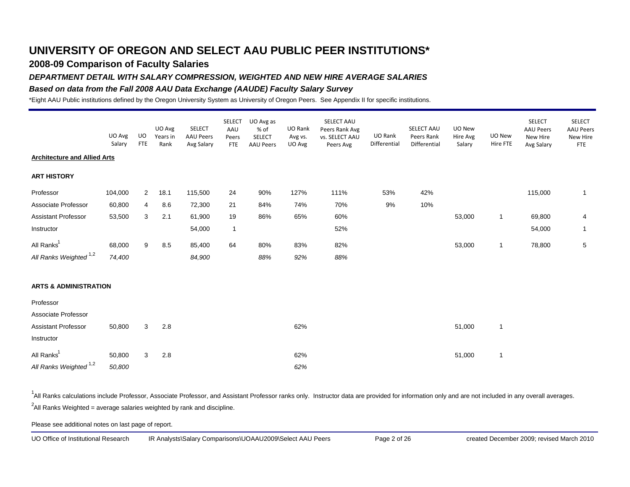### **2008-09 Comparison of Faculty Salaries**

### *DEPARTMENT DETAIL WITH SALARY COMPRESSION, WEIGHTED AND NEW HIRE AVERAGE SALARIES*

### *Based on data from the Fall 2008 AAU Data Exchange (AAUDE) Faculty Salary Survey*

\*Eight AAU Public institutions defined by the Oregon University System as University of Oregon Peers. See Appendix II for specific institutions.

|                                     | UO Avg<br>Salary | UO<br><b>FTE</b> | UO Avg<br>Years in<br>Rank | <b>SELECT</b><br><b>AAU Peers</b><br>Avg Salary | <b>SELECT</b><br>AAU<br>Peers<br><b>FTE</b> | UO Avg as<br>% of<br><b>SELECT</b><br><b>AAU Peers</b> | UO Rank<br>Avg vs.<br>UO Avg | SELECT AAU<br>Peers Rank Avg<br>vs. SELECT AAU<br>Peers Avg | UO Rank<br>Differential | SELECT AAU<br>Peers Rank<br>Differential | UO New<br>Hire Avg<br>Salary | UO New<br>Hire FTE | <b>SELECT</b><br><b>AAU Peers</b><br>New Hire<br>Avg Salary | <b>SELECT</b><br><b>AAU Peers</b><br>New Hire<br><b>FTE</b> |
|-------------------------------------|------------------|------------------|----------------------------|-------------------------------------------------|---------------------------------------------|--------------------------------------------------------|------------------------------|-------------------------------------------------------------|-------------------------|------------------------------------------|------------------------------|--------------------|-------------------------------------------------------------|-------------------------------------------------------------|
| <b>Architecture and Allied Arts</b> |                  |                  |                            |                                                 |                                             |                                                        |                              |                                                             |                         |                                          |                              |                    |                                                             |                                                             |
| <b>ART HISTORY</b>                  |                  |                  |                            |                                                 |                                             |                                                        |                              |                                                             |                         |                                          |                              |                    |                                                             |                                                             |
| Professor                           | 104,000          | $\overline{2}$   | 18.1                       | 115,500                                         | 24                                          | 90%                                                    | 127%                         | 111%                                                        | 53%                     | 42%                                      |                              |                    | 115,000                                                     | $\mathbf{1}$                                                |
| Associate Professor                 | 60,800           | 4                | 8.6                        | 72,300                                          | 21                                          | 84%                                                    | 74%                          | 70%                                                         | 9%                      | 10%                                      |                              |                    |                                                             |                                                             |
| <b>Assistant Professor</b>          | 53,500           | 3                | 2.1                        | 61,900                                          | 19                                          | 86%                                                    | 65%                          | 60%                                                         |                         |                                          | 53,000                       | $\mathbf{1}$       | 69,800                                                      | 4                                                           |
| Instructor                          |                  |                  |                            | 54,000                                          | $\mathbf{1}$                                |                                                        |                              | 52%                                                         |                         |                                          |                              |                    | 54,000                                                      | $\mathbf{1}$                                                |
| All Ranks <sup>1</sup>              | 68,000           | 9                | 8.5                        | 85,400                                          | 64                                          | 80%                                                    | 83%                          | 82%                                                         |                         |                                          | 53,000                       | $\mathbf{1}$       | 78,800                                                      | 5                                                           |
| All Ranks Weighted <sup>1,2</sup>   | 74,400           |                  |                            | 84,900                                          |                                             | 88%                                                    | 92%                          | 88%                                                         |                         |                                          |                              |                    |                                                             |                                                             |
| <b>ARTS &amp; ADMINISTRATION</b>    |                  |                  |                            |                                                 |                                             |                                                        |                              |                                                             |                         |                                          |                              |                    |                                                             |                                                             |
| Professor                           |                  |                  |                            |                                                 |                                             |                                                        |                              |                                                             |                         |                                          |                              |                    |                                                             |                                                             |
| Associate Professor                 |                  |                  |                            |                                                 |                                             |                                                        |                              |                                                             |                         |                                          |                              |                    |                                                             |                                                             |
| Assistant Professor                 | 50,800           | 3                | 2.8                        |                                                 |                                             |                                                        | 62%                          |                                                             |                         |                                          | 51,000                       | $\mathbf{1}$       |                                                             |                                                             |
| Instructor                          |                  |                  |                            |                                                 |                                             |                                                        |                              |                                                             |                         |                                          |                              |                    |                                                             |                                                             |
| All Ranks <sup>1</sup>              | 50,800           | 3                | 2.8                        |                                                 |                                             |                                                        | 62%                          |                                                             |                         |                                          | 51,000                       | $\mathbf{1}$       |                                                             |                                                             |
| All Ranks Weighted <sup>1,2</sup>   | 50,800           |                  |                            |                                                 |                                             |                                                        | 62%                          |                                                             |                         |                                          |                              |                    |                                                             |                                                             |

<sup>1</sup>All Ranks calculations include Professor, Associate Professor, and Assistant Professor ranks only. Instructor data are provided for information only and are not included in any overall averages.  $^2$ All Ranks Weighted = average salaries weighted by rank and discipline.

Please see additional notes on last page of report.

UO Office of Institutional Research IR Analysts\Salary Comparisons\UOAAU2009\Select AAU Peers Page 2 of 26 created December 2009; revised March 2010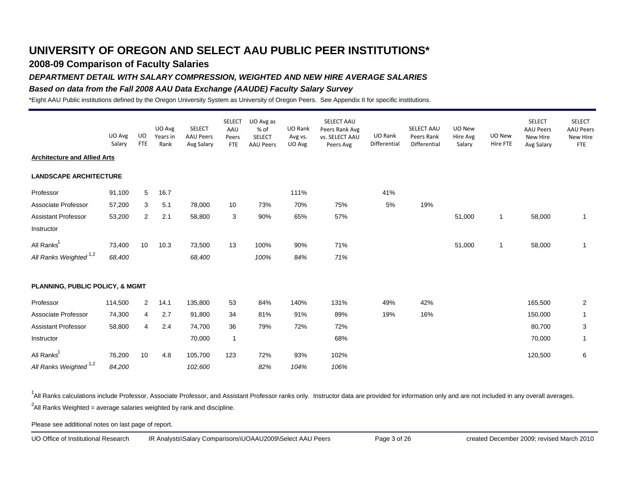### **2008-09 Comparison of Faculty Salaries**

#### *DEPARTMENT DETAIL WITH SALARY COMPRESSION, WEIGHTED AND NEW HIRE AVERAGE SALARIES*

#### *Based on data from the Fall 2008 AAU Data Exchange (AAUDE) Faculty Salary Survey*

\*Eight AAU Public institutions defined by the Oregon University System as University of Oregon Peers. See Appendix II for specific institutions.

|                                     | UO Avg<br>Salary | UO<br><b>FTE</b> | UO Avg<br>Years in<br>Rank | <b>SELECT</b><br><b>AAU Peers</b><br>Avg Salary | <b>SELECT</b><br>AAU<br>Peers<br><b>FTE</b> | UO Avg as<br>% of<br>SELECT<br><b>AAU Peers</b> | UO Rank<br>Avg vs.<br>UO Avg | SELECT AAU<br>Peers Rank Avg<br>vs. SELECT AAU<br>Peers Avg | UO Rank<br>Differential | SELECT AAU<br>Peers Rank<br>Differential | UO New<br>Hire Avg<br>Salary | UO New<br>Hire FTE | <b>SELECT</b><br><b>AAU Peers</b><br>New Hire<br>Avg Salary | <b>SELECT</b><br><b>AAU Peers</b><br>New Hire<br><b>FTE</b> |
|-------------------------------------|------------------|------------------|----------------------------|-------------------------------------------------|---------------------------------------------|-------------------------------------------------|------------------------------|-------------------------------------------------------------|-------------------------|------------------------------------------|------------------------------|--------------------|-------------------------------------------------------------|-------------------------------------------------------------|
| <b>Architecture and Allied Arts</b> |                  |                  |                            |                                                 |                                             |                                                 |                              |                                                             |                         |                                          |                              |                    |                                                             |                                                             |
| <b>LANDSCAPE ARCHITECTURE</b>       |                  |                  |                            |                                                 |                                             |                                                 |                              |                                                             |                         |                                          |                              |                    |                                                             |                                                             |
| Professor                           | 91,100           | 5                | 16.7                       |                                                 |                                             |                                                 | 111%                         |                                                             | 41%                     |                                          |                              |                    |                                                             |                                                             |
| Associate Professor                 | 57,200           | 3                | 5.1                        | 78,000                                          | 10                                          | 73%                                             | 70%                          | 75%                                                         | 5%                      | 19%                                      |                              |                    |                                                             |                                                             |
| <b>Assistant Professor</b>          | 53,200           | 2                | 2.1                        | 58,800                                          | 3                                           | 90%                                             | 65%                          | 57%                                                         |                         |                                          | 51,000                       | $\mathbf{1}$       | 58,000                                                      | $\mathbf{1}$                                                |
| Instructor                          |                  |                  |                            |                                                 |                                             |                                                 |                              |                                                             |                         |                                          |                              |                    |                                                             |                                                             |
| All Ranks <sup>1</sup>              | 73,400           | 10               | 10.3                       | 73,500                                          | 13                                          | 100%                                            | 90%                          | 71%                                                         |                         |                                          | 51,000                       | $\mathbf{1}$       | 58,000                                                      | $\mathbf{1}$                                                |
| All Ranks Weighted <sup>1,2</sup>   | 68,400           |                  |                            | 68,400                                          |                                             | 100%                                            | 84%                          | 71%                                                         |                         |                                          |                              |                    |                                                             |                                                             |
| PLANNING, PUBLIC POLICY, & MGMT     |                  |                  |                            |                                                 |                                             |                                                 |                              |                                                             |                         |                                          |                              |                    |                                                             |                                                             |
| Professor                           | 114,500          | $\overline{2}$   | 14.1                       | 135,800                                         | 53                                          | 84%                                             | 140%                         | 131%                                                        | 49%                     | 42%                                      |                              |                    | 165,500                                                     | $\overline{2}$                                              |
| Associate Professor                 | 74,300           | 4                | 2.7                        | 91,800                                          | 34                                          | 81%                                             | 91%                          | 89%                                                         | 19%                     | 16%                                      |                              |                    | 150,000                                                     | $\mathbf{1}$                                                |
| <b>Assistant Professor</b>          | 58,800           | 4                | 2.4                        | 74,700                                          | 36                                          | 79%                                             | 72%                          | 72%                                                         |                         |                                          |                              |                    | 80,700                                                      | $\mathsf 3$                                                 |
| Instructor                          |                  |                  |                            | 70,000                                          | $\mathbf{1}$                                |                                                 |                              | 68%                                                         |                         |                                          |                              |                    | 70,000                                                      | $\mathbf{1}$                                                |
| All Ranks <sup>1</sup>              | 76,200           | 10               | 4.8                        | 105,700                                         | 123                                         | 72%                                             | 93%                          | 102%                                                        |                         |                                          |                              |                    | 120,500                                                     | 6                                                           |
| All Ranks Weighted 1,2              | 84,200           |                  |                            | 102,600                                         |                                             | 82%                                             | 104%                         | 106%                                                        |                         |                                          |                              |                    |                                                             |                                                             |

<sup>1</sup>All Ranks calculations include Professor, Associate Professor, and Assistant Professor ranks only. Instructor data are provided for information only and are not included in any overall averages.  $^2$ All Ranks Weighted = average salaries weighted by rank and discipline.

Please see additional notes on last page of report.

UO Office of Institutional Research IR Analysts\Salary Comparisons\UOAAU2009\Select AAU Peers Page 3 of 26 created December 2009; revised March 2010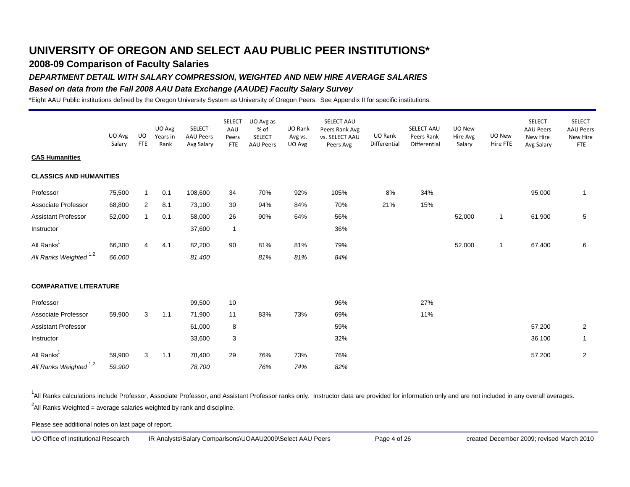### **2008-09 Comparison of Faculty Salaries**

### *DEPARTMENT DETAIL WITH SALARY COMPRESSION, WEIGHTED AND NEW HIRE AVERAGE SALARIES*

### *Based on data from the Fall 2008 AAU Data Exchange (AAUDE) Faculty Salary Survey*

\*Eight AAU Public institutions defined by the Oregon University System as University of Oregon Peers. See Appendix II for specific institutions.

|                                   | UO Avg<br>Salary | UO<br><b>FTE</b> | UO Avg<br>Years in<br>Rank | <b>SELECT</b><br><b>AAU Peers</b><br>Avg Salary | <b>SELECT</b><br>AAU<br>Peers<br><b>FTE</b> | UO Avg as<br>% of<br><b>SELECT</b><br><b>AAU Peers</b> | UO Rank<br>Avg vs.<br>UO Avg | SELECT AAU<br>Peers Rank Avg<br>vs. SELECT AAU<br>Peers Avg | UO Rank<br>Differential | SELECT AAU<br>Peers Rank<br>Differential | UO New<br>Hire Avg<br>Salary | UO New<br>Hire FTE | <b>SELECT</b><br><b>AAU Peers</b><br>New Hire<br>Avg Salary | <b>SELECT</b><br><b>AAU Peers</b><br>New Hire<br><b>FTE</b> |
|-----------------------------------|------------------|------------------|----------------------------|-------------------------------------------------|---------------------------------------------|--------------------------------------------------------|------------------------------|-------------------------------------------------------------|-------------------------|------------------------------------------|------------------------------|--------------------|-------------------------------------------------------------|-------------------------------------------------------------|
| <b>CAS Humanities</b>             |                  |                  |                            |                                                 |                                             |                                                        |                              |                                                             |                         |                                          |                              |                    |                                                             |                                                             |
| <b>CLASSICS AND HUMANITIES</b>    |                  |                  |                            |                                                 |                                             |                                                        |                              |                                                             |                         |                                          |                              |                    |                                                             |                                                             |
| Professor                         | 75,500           | $\overline{1}$   | 0.1                        | 108,600                                         | 34                                          | 70%                                                    | 92%                          | 105%                                                        | 8%                      | 34%                                      |                              |                    | 95,000                                                      | $\mathbf{1}$                                                |
| Associate Professor               | 68,800           | 2                | 8.1                        | 73,100                                          | 30                                          | 94%                                                    | 84%                          | 70%                                                         | 21%                     | 15%                                      |                              |                    |                                                             |                                                             |
| <b>Assistant Professor</b>        | 52,000           | $\overline{1}$   | 0.1                        | 58,000                                          | 26                                          | 90%                                                    | 64%                          | 56%                                                         |                         |                                          | 52,000                       | $\mathbf{1}$       | 61,900                                                      | 5                                                           |
| Instructor                        |                  |                  |                            | 37,600                                          | $\mathbf{1}$                                |                                                        |                              | 36%                                                         |                         |                                          |                              |                    |                                                             |                                                             |
| All Ranks <sup>1</sup>            | 66,300           | 4                | 4.1                        | 82,200                                          | 90                                          | 81%                                                    | 81%                          | 79%                                                         |                         |                                          | 52,000                       | $\mathbf{1}$       | 67,400                                                      | 6                                                           |
| All Ranks Weighted <sup>1,2</sup> | 66,000           |                  |                            | 81,400                                          |                                             | 81%                                                    | 81%                          | 84%                                                         |                         |                                          |                              |                    |                                                             |                                                             |
| <b>COMPARATIVE LITERATURE</b>     |                  |                  |                            |                                                 |                                             |                                                        |                              |                                                             |                         |                                          |                              |                    |                                                             |                                                             |
| Professor                         |                  |                  |                            | 99,500                                          | 10                                          |                                                        |                              | 96%                                                         |                         | 27%                                      |                              |                    |                                                             |                                                             |
| Associate Professor               | 59,900           | 3                | 1.1                        | 71,900                                          | 11                                          | 83%                                                    | 73%                          | 69%                                                         |                         | 11%                                      |                              |                    |                                                             |                                                             |
| <b>Assistant Professor</b>        |                  |                  |                            | 61,000                                          | 8                                           |                                                        |                              | 59%                                                         |                         |                                          |                              |                    | 57,200                                                      | $\overline{2}$                                              |
| Instructor                        |                  |                  |                            | 33,600                                          | $\mathbf{3}$                                |                                                        |                              | 32%                                                         |                         |                                          |                              |                    | 36,100                                                      | $\mathbf{1}$                                                |
| All Ranks <sup>1</sup>            | 59,900           | 3                | 1.1                        | 78,400                                          | 29                                          | 76%                                                    | 73%                          | 76%                                                         |                         |                                          |                              |                    | 57,200                                                      | $\overline{2}$                                              |
| All Ranks Weighted <sup>1,2</sup> | 59,900           |                  |                            | 78,700                                          |                                             | 76%                                                    | 74%                          | 82%                                                         |                         |                                          |                              |                    |                                                             |                                                             |

<sup>1</sup>All Ranks calculations include Professor, Associate Professor, and Assistant Professor ranks only. Instructor data are provided for information only and are not included in any overall averages.  $^2$ All Ranks Weighted = average salaries weighted by rank and discipline.

Please see additional notes on last page of report.

UO Office of Institutional Research IR Analysts\Salary Comparisons\UOAAU2009\Select AAU Peers Page 4 of 26 created December 2009; revised March 2010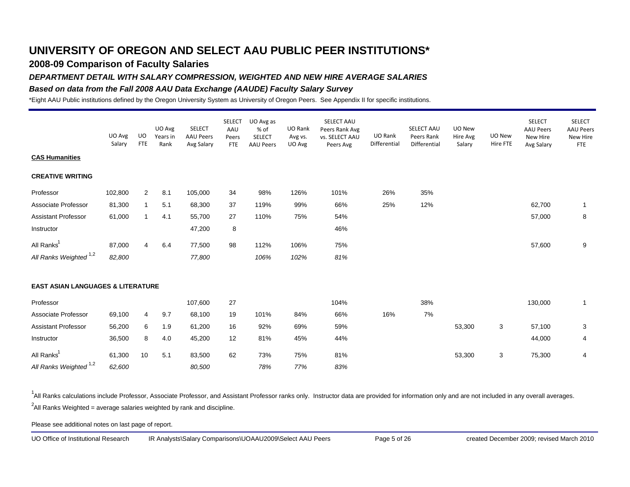### **2008-09 Comparison of Faculty Salaries**

### *DEPARTMENT DETAIL WITH SALARY COMPRESSION, WEIGHTED AND NEW HIRE AVERAGE SALARIES*

### *Based on data from the Fall 2008 AAU Data Exchange (AAUDE) Faculty Salary Survey*

\*Eight AAU Public institutions defined by the Oregon University System as University of Oregon Peers. See Appendix II for specific institutions.

|                                              | UO Avg<br>Salary | UO<br><b>FTE</b> | UO Avg<br>Years in<br>Rank | <b>SELECT</b><br><b>AAU Peers</b><br>Avg Salary | <b>SELECT</b><br>AAU<br>Peers<br><b>FTE</b> | UO Avg as<br>% of<br>SELECT<br><b>AAU Peers</b> | UO Rank<br>Avg vs.<br>UO Avg | SELECT AAU<br>Peers Rank Avg<br>vs. SELECT AAU<br>Peers Avg | UO Rank<br>Differential | SELECT AAU<br>Peers Rank<br>Differential | UO New<br>Hire Avg<br>Salary | UO New<br>Hire FTE | <b>SELECT</b><br><b>AAU Peers</b><br>New Hire<br>Avg Salary | <b>SELECT</b><br><b>AAU Peers</b><br>New Hire<br><b>FTE</b> |
|----------------------------------------------|------------------|------------------|----------------------------|-------------------------------------------------|---------------------------------------------|-------------------------------------------------|------------------------------|-------------------------------------------------------------|-------------------------|------------------------------------------|------------------------------|--------------------|-------------------------------------------------------------|-------------------------------------------------------------|
| <b>CAS Humanities</b>                        |                  |                  |                            |                                                 |                                             |                                                 |                              |                                                             |                         |                                          |                              |                    |                                                             |                                                             |
| <b>CREATIVE WRITING</b>                      |                  |                  |                            |                                                 |                                             |                                                 |                              |                                                             |                         |                                          |                              |                    |                                                             |                                                             |
| Professor                                    | 102,800          | 2                | 8.1                        | 105,000                                         | 34                                          | 98%                                             | 126%                         | 101%                                                        | 26%                     | 35%                                      |                              |                    |                                                             |                                                             |
| Associate Professor                          | 81,300           | $\mathbf{1}$     | 5.1                        | 68,300                                          | 37                                          | 119%                                            | 99%                          | 66%                                                         | 25%                     | 12%                                      |                              |                    | 62,700                                                      | $\mathbf{1}$                                                |
| <b>Assistant Professor</b>                   | 61,000           | $\mathbf{1}$     | 4.1                        | 55,700                                          | 27                                          | 110%                                            | 75%                          | 54%                                                         |                         |                                          |                              |                    | 57,000                                                      | 8                                                           |
| Instructor                                   |                  |                  |                            | 47,200                                          | 8                                           |                                                 |                              | 46%                                                         |                         |                                          |                              |                    |                                                             |                                                             |
| All Ranks <sup>1</sup>                       | 87,000           | 4                | 6.4                        | 77,500                                          | 98                                          | 112%                                            | 106%                         | 75%                                                         |                         |                                          |                              |                    | 57,600                                                      | 9                                                           |
| All Ranks Weighted <sup>1,2</sup>            | 82,800           |                  |                            | 77,800                                          |                                             | 106%                                            | 102%                         | 81%                                                         |                         |                                          |                              |                    |                                                             |                                                             |
| <b>EAST ASIAN LANGUAGES &amp; LITERATURE</b> |                  |                  |                            |                                                 |                                             |                                                 |                              |                                                             |                         |                                          |                              |                    |                                                             |                                                             |
| Professor                                    |                  |                  |                            | 107,600                                         | 27                                          |                                                 |                              | 104%                                                        |                         | 38%                                      |                              |                    | 130,000                                                     | $\mathbf{1}$                                                |
| Associate Professor                          | 69,100           | 4                | 9.7                        | 68,100                                          | 19                                          | 101%                                            | 84%                          | 66%                                                         | 16%                     | 7%                                       |                              |                    |                                                             |                                                             |
| <b>Assistant Professor</b>                   | 56,200           | 6                | 1.9                        | 61,200                                          | 16                                          | 92%                                             | 69%                          | 59%                                                         |                         |                                          | 53,300                       | 3                  | 57,100                                                      | 3                                                           |
| Instructor                                   | 36,500           | 8                | 4.0                        | 45,200                                          | 12                                          | 81%                                             | 45%                          | 44%                                                         |                         |                                          |                              |                    | 44,000                                                      | 4                                                           |
| All Ranks <sup>1</sup>                       | 61,300           | 10               | 5.1                        | 83,500                                          | 62                                          | 73%                                             | 75%                          | 81%                                                         |                         |                                          | 53,300                       | 3                  | 75,300                                                      | 4                                                           |
| All Ranks Weighted <sup>1,2</sup>            | 62,600           |                  |                            | 80,500                                          |                                             | 78%                                             | 77%                          | 83%                                                         |                         |                                          |                              |                    |                                                             |                                                             |

<sup>1</sup>All Ranks calculations include Professor, Associate Professor, and Assistant Professor ranks only. Instructor data are provided for information only and are not included in any overall averages.  $^2$ All Ranks Weighted = average salaries weighted by rank and discipline.

Please see additional notes on last page of report.

UO Office of Institutional Research IR Analysts\Salary Comparisons\UOAAU2009\Select AAU Peers Page 5 of 26 created December 2009; revised March 2010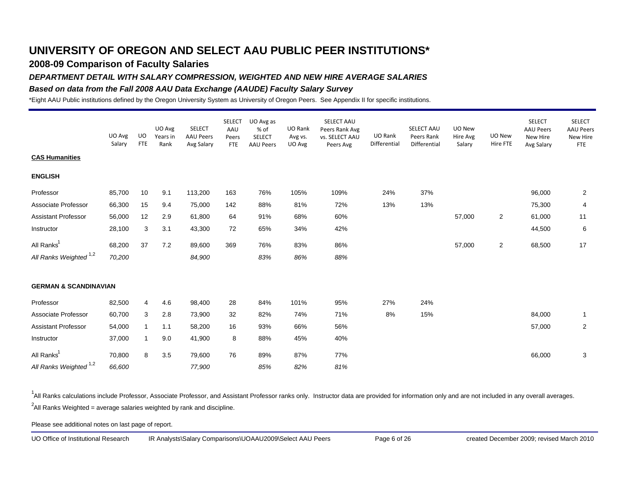### **2008-09 Comparison of Faculty Salaries**

### *DEPARTMENT DETAIL WITH SALARY COMPRESSION, WEIGHTED AND NEW HIRE AVERAGE SALARIES*

### *Based on data from the Fall 2008 AAU Data Exchange (AAUDE) Faculty Salary Survey*

\*Eight AAU Public institutions defined by the Oregon University System as University of Oregon Peers. See Appendix II for specific institutions.

|                                   | UO Avg<br>Salary | UO<br><b>FTE</b> | UO Avg<br>Years in<br>Rank | <b>SELECT</b><br><b>AAU Peers</b><br>Avg Salary | <b>SELECT</b><br>AAU<br>Peers<br>FTE | UO Avg as<br>% of<br><b>SELECT</b><br><b>AAU Peers</b> | UO Rank<br>Avg vs.<br>UO Avg | SELECT AAU<br>Peers Rank Avg<br>vs. SELECT AAU<br>Peers Avg | UO Rank<br>Differential | SELECT AAU<br>Peers Rank<br>Differential | UO New<br>Hire Avg<br>Salary | UO New<br>Hire FTE      | <b>SELECT</b><br><b>AAU Peers</b><br>New Hire<br>Avg Salary | <b>SELECT</b><br><b>AAU Peers</b><br>New Hire<br><b>FTE</b> |
|-----------------------------------|------------------|------------------|----------------------------|-------------------------------------------------|--------------------------------------|--------------------------------------------------------|------------------------------|-------------------------------------------------------------|-------------------------|------------------------------------------|------------------------------|-------------------------|-------------------------------------------------------------|-------------------------------------------------------------|
| <b>CAS Humanities</b>             |                  |                  |                            |                                                 |                                      |                                                        |                              |                                                             |                         |                                          |                              |                         |                                                             |                                                             |
| <b>ENGLISH</b>                    |                  |                  |                            |                                                 |                                      |                                                        |                              |                                                             |                         |                                          |                              |                         |                                                             |                                                             |
| Professor                         | 85,700           | 10               | 9.1                        | 113,200                                         | 163                                  | 76%                                                    | 105%                         | 109%                                                        | 24%                     | 37%                                      |                              |                         | 96,000                                                      | 2                                                           |
| Associate Professor               | 66,300           | 15               | 9.4                        | 75,000                                          | 142                                  | 88%                                                    | 81%                          | 72%                                                         | 13%                     | 13%                                      |                              |                         | 75,300                                                      | 4                                                           |
| <b>Assistant Professor</b>        | 56,000           | 12               | 2.9                        | 61,800                                          | 64                                   | 91%                                                    | 68%                          | 60%                                                         |                         |                                          | 57,000                       | $\overline{c}$          | 61,000                                                      | 11                                                          |
| Instructor                        | 28,100           | 3                | 3.1                        | 43,300                                          | 72                                   | 65%                                                    | 34%                          | 42%                                                         |                         |                                          |                              |                         | 44,500                                                      | 6                                                           |
| All Ranks <sup>1</sup>            | 68,200           | 37               | 7.2                        | 89,600                                          | 369                                  | 76%                                                    | 83%                          | 86%                                                         |                         |                                          | 57,000                       | $\overline{\mathbf{c}}$ | 68,500                                                      | 17                                                          |
| All Ranks Weighted <sup>1,2</sup> | 70,200           |                  |                            | 84,900                                          |                                      | 83%                                                    | 86%                          | 88%                                                         |                         |                                          |                              |                         |                                                             |                                                             |
| <b>GERMAN &amp; SCANDINAVIAN</b>  |                  |                  |                            |                                                 |                                      |                                                        |                              |                                                             |                         |                                          |                              |                         |                                                             |                                                             |
| Professor                         | 82,500           | 4                | 4.6                        | 98,400                                          | 28                                   | 84%                                                    | 101%                         | 95%                                                         | 27%                     | 24%                                      |                              |                         |                                                             |                                                             |
| Associate Professor               | 60,700           | 3                | 2.8                        | 73,900                                          | 32                                   | 82%                                                    | 74%                          | 71%                                                         | 8%                      | 15%                                      |                              |                         | 84,000                                                      | $\mathbf{1}$                                                |
| <b>Assistant Professor</b>        | 54,000           | $\overline{1}$   | 1.1                        | 58,200                                          | 16                                   | 93%                                                    | 66%                          | 56%                                                         |                         |                                          |                              |                         | 57,000                                                      | $\overline{2}$                                              |
| Instructor                        | 37,000           | 1                | 9.0                        | 41,900                                          | 8                                    | 88%                                                    | 45%                          | 40%                                                         |                         |                                          |                              |                         |                                                             |                                                             |
| All Ranks <sup>1</sup>            | 70,800           | 8                | 3.5                        | 79,600                                          | 76                                   | 89%                                                    | 87%                          | 77%                                                         |                         |                                          |                              |                         | 66,000                                                      | 3                                                           |
| All Ranks Weighted <sup>1,2</sup> | 66,600           |                  |                            | 77,900                                          |                                      | 85%                                                    | 82%                          | 81%                                                         |                         |                                          |                              |                         |                                                             |                                                             |

<sup>1</sup>All Ranks calculations include Professor, Associate Professor, and Assistant Professor ranks only. Instructor data are provided for information only and are not included in any overall averages.  $^2$ All Ranks Weighted = average salaries weighted by rank and discipline.

Please see additional notes on last page of report.

UO Office of Institutional Research IR Analysts\Salary Comparisons\UOAAU2009\Select AAU Peers Page 6 of 26 created December 2009; revised March 2010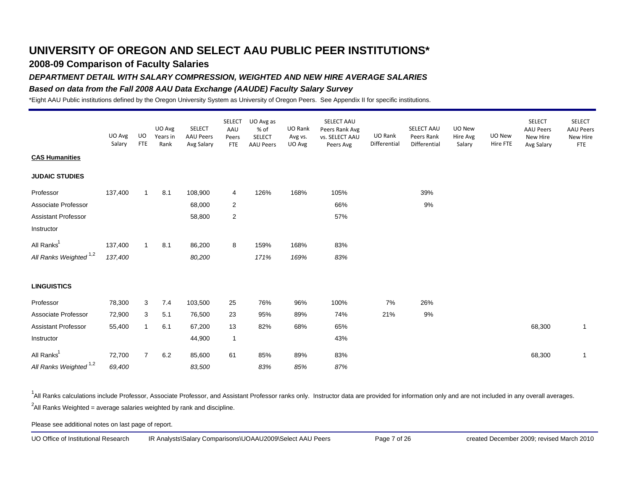### **2008-09 Comparison of Faculty Salaries**

### *DEPARTMENT DETAIL WITH SALARY COMPRESSION, WEIGHTED AND NEW HIRE AVERAGE SALARIES*

### *Based on data from the Fall 2008 AAU Data Exchange (AAUDE) Faculty Salary Survey*

\*Eight AAU Public institutions defined by the Oregon University System as University of Oregon Peers. See Appendix II for specific institutions.

|                                   | UO Avg<br>Salary | UO<br><b>FTE</b> | UO Avg<br>Years in<br>Rank | <b>SELECT</b><br><b>AAU Peers</b><br>Avg Salary | <b>SELECT</b><br>AAU<br>Peers<br><b>FTE</b> | UO Avg as<br>% of<br><b>SELECT</b><br><b>AAU Peers</b> | UO Rank<br>Avg vs.<br>UO Avg | SELECT AAU<br>Peers Rank Avg<br>vs. SELECT AAU<br>Peers Avg | UO Rank<br>Differential | SELECT AAU<br>Peers Rank<br>Differential | UO New<br>Hire Avg<br>Salary | UO New<br>Hire FTE | <b>SELECT</b><br><b>AAU Peers</b><br>New Hire<br>Avg Salary | <b>SELECT</b><br><b>AAU Peers</b><br>New Hire<br><b>FTE</b> |
|-----------------------------------|------------------|------------------|----------------------------|-------------------------------------------------|---------------------------------------------|--------------------------------------------------------|------------------------------|-------------------------------------------------------------|-------------------------|------------------------------------------|------------------------------|--------------------|-------------------------------------------------------------|-------------------------------------------------------------|
| <b>CAS Humanities</b>             |                  |                  |                            |                                                 |                                             |                                                        |                              |                                                             |                         |                                          |                              |                    |                                                             |                                                             |
| <b>JUDAIC STUDIES</b>             |                  |                  |                            |                                                 |                                             |                                                        |                              |                                                             |                         |                                          |                              |                    |                                                             |                                                             |
| Professor                         | 137,400          | $\overline{1}$   | 8.1                        | 108,900                                         | 4                                           | 126%                                                   | 168%                         | 105%                                                        |                         | 39%                                      |                              |                    |                                                             |                                                             |
| Associate Professor               |                  |                  |                            | 68,000                                          | $\overline{2}$                              |                                                        |                              | 66%                                                         |                         | 9%                                       |                              |                    |                                                             |                                                             |
| <b>Assistant Professor</b>        |                  |                  |                            | 58,800                                          | $\overline{c}$                              |                                                        |                              | 57%                                                         |                         |                                          |                              |                    |                                                             |                                                             |
| Instructor                        |                  |                  |                            |                                                 |                                             |                                                        |                              |                                                             |                         |                                          |                              |                    |                                                             |                                                             |
| All Ranks <sup>1</sup>            | 137,400          | $\mathbf{1}$     | 8.1                        | 86,200                                          | 8                                           | 159%                                                   | 168%                         | 83%                                                         |                         |                                          |                              |                    |                                                             |                                                             |
| All Ranks Weighted <sup>1,2</sup> | 137,400          |                  |                            | 80,200                                          |                                             | 171%                                                   | 169%                         | 83%                                                         |                         |                                          |                              |                    |                                                             |                                                             |
| <b>LINGUISTICS</b>                |                  |                  |                            |                                                 |                                             |                                                        |                              |                                                             |                         |                                          |                              |                    |                                                             |                                                             |
| Professor                         | 78,300           | 3                | 7.4                        | 103,500                                         | 25                                          | 76%                                                    | 96%                          | 100%                                                        | 7%                      | 26%                                      |                              |                    |                                                             |                                                             |
| Associate Professor               | 72,900           | 3                | 5.1                        | 76,500                                          | 23                                          | 95%                                                    | 89%                          | 74%                                                         | 21%                     | 9%                                       |                              |                    |                                                             |                                                             |
| Assistant Professor               | 55,400           | $\mathbf{1}$     | 6.1                        | 67,200                                          | 13                                          | 82%                                                    | 68%                          | 65%                                                         |                         |                                          |                              |                    | 68,300                                                      | $\mathbf{1}$                                                |
| Instructor                        |                  |                  |                            | 44,900                                          | $\mathbf{1}$                                |                                                        |                              | 43%                                                         |                         |                                          |                              |                    |                                                             |                                                             |
| All Ranks <sup>1</sup>            | 72,700           | $\overline{7}$   | 6.2                        | 85,600                                          | 61                                          | 85%                                                    | 89%                          | 83%                                                         |                         |                                          |                              |                    | 68,300                                                      | $\mathbf{1}$                                                |
| All Ranks Weighted <sup>1,2</sup> | 69,400           |                  |                            | 83,500                                          |                                             | 83%                                                    | 85%                          | 87%                                                         |                         |                                          |                              |                    |                                                             |                                                             |

<sup>1</sup>All Ranks calculations include Professor, Associate Professor, and Assistant Professor ranks only. Instructor data are provided for information only and are not included in any overall averages.  $^2$ All Ranks Weighted = average salaries weighted by rank and discipline.

Please see additional notes on last page of report.

UO Office of Institutional Research IR Analysts\Salary Comparisons\UOAAU2009\Select AAU Peers Page 7 of 26 created December 2009; revised March 2010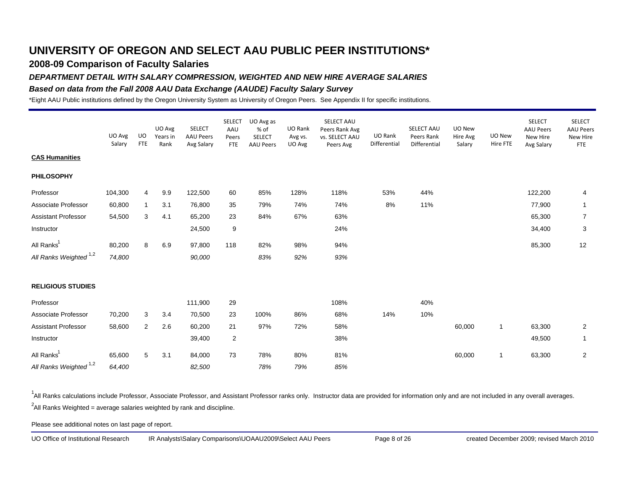### **2008-09 Comparison of Faculty Salaries**

#### *DEPARTMENT DETAIL WITH SALARY COMPRESSION, WEIGHTED AND NEW HIRE AVERAGE SALARIES*

#### *Based on data from the Fall 2008 AAU Data Exchange (AAUDE) Faculty Salary Survey*

\*Eight AAU Public institutions defined by the Oregon University System as University of Oregon Peers. See Appendix II for specific institutions.

|                                   | UO Avg<br>Salary | UO<br><b>FTE</b> | UO Avg<br>Years in<br>Rank | <b>SELECT</b><br><b>AAU Peers</b><br>Avg Salary | <b>SELECT</b><br>AAU<br>Peers<br><b>FTE</b> | UO Avg as<br>% of<br>SELECT<br><b>AAU Peers</b> | UO Rank<br>Avg vs.<br>UO Avg | SELECT AAU<br>Peers Rank Avg<br>vs. SELECT AAU<br>Peers Avg | UO Rank<br>Differential | SELECT AAU<br>Peers Rank<br>Differential | UO New<br>Hire Avg<br>Salary | UO New<br>Hire FTE | <b>SELECT</b><br><b>AAU Peers</b><br>New Hire<br>Avg Salary | <b>SELECT</b><br><b>AAU Peers</b><br>New Hire<br><b>FTE</b> |
|-----------------------------------|------------------|------------------|----------------------------|-------------------------------------------------|---------------------------------------------|-------------------------------------------------|------------------------------|-------------------------------------------------------------|-------------------------|------------------------------------------|------------------------------|--------------------|-------------------------------------------------------------|-------------------------------------------------------------|
| <b>CAS Humanities</b>             |                  |                  |                            |                                                 |                                             |                                                 |                              |                                                             |                         |                                          |                              |                    |                                                             |                                                             |
| <b>PHILOSOPHY</b>                 |                  |                  |                            |                                                 |                                             |                                                 |                              |                                                             |                         |                                          |                              |                    |                                                             |                                                             |
| Professor                         | 104,300          | 4                | 9.9                        | 122,500                                         | 60                                          | 85%                                             | 128%                         | 118%                                                        | 53%                     | 44%                                      |                              |                    | 122,200                                                     | 4                                                           |
| Associate Professor               | 60,800           | $\mathbf{1}$     | 3.1                        | 76,800                                          | 35                                          | 79%                                             | 74%                          | 74%                                                         | 8%                      | 11%                                      |                              |                    | 77,900                                                      | $\mathbf{1}$                                                |
| <b>Assistant Professor</b>        | 54,500           | 3                | 4.1                        | 65,200                                          | 23                                          | 84%                                             | 67%                          | 63%                                                         |                         |                                          |                              |                    | 65,300                                                      | $\overline{7}$                                              |
| Instructor                        |                  |                  |                            | 24,500                                          | 9                                           |                                                 |                              | 24%                                                         |                         |                                          |                              |                    | 34,400                                                      | 3                                                           |
| All Ranks <sup>1</sup>            | 80,200           | 8                | 6.9                        | 97,800                                          | 118                                         | 82%                                             | 98%                          | 94%                                                         |                         |                                          |                              |                    | 85,300                                                      | 12                                                          |
| All Ranks Weighted <sup>1,2</sup> | 74,800           |                  |                            | 90,000                                          |                                             | 83%                                             | 92%                          | 93%                                                         |                         |                                          |                              |                    |                                                             |                                                             |
| <b>RELIGIOUS STUDIES</b>          |                  |                  |                            |                                                 |                                             |                                                 |                              |                                                             |                         |                                          |                              |                    |                                                             |                                                             |
| Professor                         |                  |                  |                            | 111,900                                         | 29                                          |                                                 |                              | 108%                                                        |                         | 40%                                      |                              |                    |                                                             |                                                             |
| Associate Professor               | 70,200           | 3                | 3.4                        | 70,500                                          | 23                                          | 100%                                            | 86%                          | 68%                                                         | 14%                     | 10%                                      |                              |                    |                                                             |                                                             |
| <b>Assistant Professor</b>        | 58,600           | 2                | 2.6                        | 60,200                                          | 21                                          | 97%                                             | 72%                          | 58%                                                         |                         |                                          | 60,000                       | 1                  | 63,300                                                      | $\overline{2}$                                              |
| Instructor                        |                  |                  |                            | 39,400                                          | $\overline{2}$                              |                                                 |                              | 38%                                                         |                         |                                          |                              |                    | 49,500                                                      | $\mathbf{1}$                                                |
| All Ranks <sup>1</sup>            | 65,600           | 5                | 3.1                        | 84,000                                          | 73                                          | 78%                                             | 80%                          | 81%                                                         |                         |                                          | 60,000                       | $\mathbf{1}$       | 63,300                                                      | $\boldsymbol{2}$                                            |
| All Ranks Weighted <sup>1,2</sup> | 64,400           |                  |                            | 82,500                                          |                                             | 78%                                             | 79%                          | 85%                                                         |                         |                                          |                              |                    |                                                             |                                                             |

<sup>1</sup>All Ranks calculations include Professor, Associate Professor, and Assistant Professor ranks only. Instructor data are provided for information only and are not included in any overall averages.  $^2$ All Ranks Weighted = average salaries weighted by rank and discipline.

Please see additional notes on last page of report.

UO Office of Institutional Research IR Analysts\Salary Comparisons\UOAAU2009\Select AAU Peers Page 8 of 26 created December 2009; revised March 2010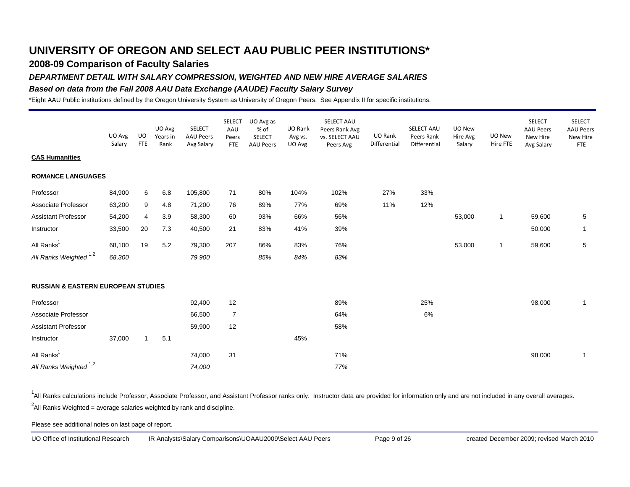### **2008-09 Comparison of Faculty Salaries**

### *DEPARTMENT DETAIL WITH SALARY COMPRESSION, WEIGHTED AND NEW HIRE AVERAGE SALARIES*

### *Based on data from the Fall 2008 AAU Data Exchange (AAUDE) Faculty Salary Survey*

\*Eight AAU Public institutions defined by the Oregon University System as University of Oregon Peers. See Appendix II for specific institutions.

|                                               | UO Avg<br>Salary | UO<br><b>FTE</b> | UO Avg<br>Years in<br>Rank | <b>SELECT</b><br><b>AAU Peers</b><br>Avg Salary | <b>SELECT</b><br>AAU<br>Peers<br><b>FTE</b> | UO Avg as<br>% of<br><b>SELECT</b><br><b>AAU Peers</b> | UO Rank<br>Avg vs.<br>UO Avg | SELECT AAU<br>Peers Rank Avg<br>vs. SELECT AAU<br>Peers Avg | UO Rank<br>Differential | SELECT AAU<br>Peers Rank<br>Differential | UO New<br>Hire Avg<br>Salary | UO New<br>Hire FTE | <b>SELECT</b><br><b>AAU Peers</b><br>New Hire<br>Avg Salary | <b>SELECT</b><br><b>AAU Peers</b><br>New Hire<br><b>FTE</b> |
|-----------------------------------------------|------------------|------------------|----------------------------|-------------------------------------------------|---------------------------------------------|--------------------------------------------------------|------------------------------|-------------------------------------------------------------|-------------------------|------------------------------------------|------------------------------|--------------------|-------------------------------------------------------------|-------------------------------------------------------------|
| <b>CAS Humanities</b>                         |                  |                  |                            |                                                 |                                             |                                                        |                              |                                                             |                         |                                          |                              |                    |                                                             |                                                             |
| <b>ROMANCE LANGUAGES</b>                      |                  |                  |                            |                                                 |                                             |                                                        |                              |                                                             |                         |                                          |                              |                    |                                                             |                                                             |
| Professor                                     | 84,900           | 6                | 6.8                        | 105,800                                         | 71                                          | 80%                                                    | 104%                         | 102%                                                        | 27%                     | 33%                                      |                              |                    |                                                             |                                                             |
| Associate Professor                           | 63,200           | 9                | 4.8                        | 71,200                                          | 76                                          | 89%                                                    | 77%                          | 69%                                                         | 11%                     | 12%                                      |                              |                    |                                                             |                                                             |
| <b>Assistant Professor</b>                    | 54,200           | 4                | 3.9                        | 58,300                                          | 60                                          | 93%                                                    | 66%                          | 56%                                                         |                         |                                          | 53,000                       | $\mathbf{1}$       | 59,600                                                      | 5                                                           |
| Instructor                                    | 33,500           | 20               | 7.3                        | 40,500                                          | 21                                          | 83%                                                    | 41%                          | 39%                                                         |                         |                                          |                              |                    | 50,000                                                      | $\mathbf{1}$                                                |
| All Ranks <sup>1</sup>                        | 68,100           | 19               | 5.2                        | 79,300                                          | 207                                         | 86%                                                    | 83%                          | 76%                                                         |                         |                                          | 53,000                       | $\mathbf{1}$       | 59,600                                                      | 5                                                           |
| All Ranks Weighted <sup>1,2</sup>             | 68,300           |                  |                            | 79,900                                          |                                             | 85%                                                    | 84%                          | 83%                                                         |                         |                                          |                              |                    |                                                             |                                                             |
| <b>RUSSIAN &amp; EASTERN EUROPEAN STUDIES</b> |                  |                  |                            |                                                 |                                             |                                                        |                              |                                                             |                         |                                          |                              |                    |                                                             |                                                             |
| Professor                                     |                  |                  |                            | 92,400                                          | 12                                          |                                                        |                              | 89%                                                         |                         | 25%                                      |                              |                    | 98,000                                                      | $\mathbf{1}$                                                |
| Associate Professor                           |                  |                  |                            | 66,500                                          | $\overline{7}$                              |                                                        |                              | 64%                                                         |                         | 6%                                       |                              |                    |                                                             |                                                             |
| <b>Assistant Professor</b>                    |                  |                  |                            | 59,900                                          | 12                                          |                                                        |                              | 58%                                                         |                         |                                          |                              |                    |                                                             |                                                             |
| Instructor                                    | 37,000           | $\overline{1}$   | 5.1                        |                                                 |                                             |                                                        | 45%                          |                                                             |                         |                                          |                              |                    |                                                             |                                                             |
| All Ranks <sup>1</sup>                        |                  |                  |                            | 74,000                                          | 31                                          |                                                        |                              | 71%                                                         |                         |                                          |                              |                    | 98,000                                                      | $\mathbf{1}$                                                |
| All Ranks Weighted <sup>1,2</sup>             |                  |                  |                            | 74,000                                          |                                             |                                                        |                              | 77%                                                         |                         |                                          |                              |                    |                                                             |                                                             |

<sup>1</sup>All Ranks calculations include Professor, Associate Professor, and Assistant Professor ranks only. Instructor data are provided for information only and are not included in any overall averages.  $^2$ All Ranks Weighted = average salaries weighted by rank and discipline.

Please see additional notes on last page of report.

UO Office of Institutional Research IR Analysts\Salary Comparisons\UOAAU2009\Select AAU Peers Page 9 of 26 created December 2009; revised March 2010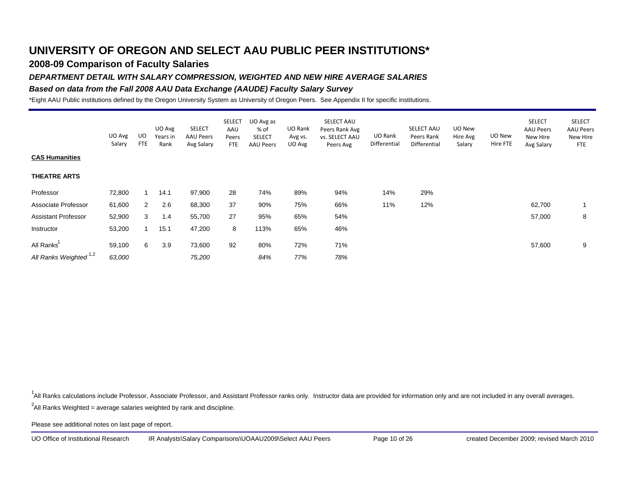## **2008-09 Comparison of Faculty Salaries**

### *DEPARTMENT DETAIL WITH SALARY COMPRESSION, WEIGHTED AND NEW HIRE AVERAGE SALARIES*

### *Based on data from the Fall 2008 AAU Data Exchange (AAUDE) Faculty Salary Survey*

\*Eight AAU Public institutions defined by the Oregon University System as University of Oregon Peers. See Appendix II for specific institutions.

|                            | UO Avg<br>Salary | UO<br><b>FTE</b> | UO Avg<br>Years in<br>Rank | <b>SELECT</b><br><b>AAU Peers</b><br>Avg Salary | <b>SELECT</b><br>AAU<br>Peers<br>FTE | UO Avg as<br>% of<br><b>SELECT</b><br>AAU Peers | UO Rank<br>Avg vs.<br>UO Avg | SELECT AAU<br>Peers Rank Avg<br>vs. SELECT AAU<br>Peers Avg | UO Rank<br>Differential | <b>SELECT AAU</b><br>Peers Rank<br>Differential | UO New<br>Hire Avg<br>Salary | UO New<br>Hire FTE | <b>SELECT</b><br><b>AAU Peers</b><br>New Hire<br>Avg Salary | <b>SELECT</b><br><b>AAU Peers</b><br>New Hire<br><b>FTE</b> |
|----------------------------|------------------|------------------|----------------------------|-------------------------------------------------|--------------------------------------|-------------------------------------------------|------------------------------|-------------------------------------------------------------|-------------------------|-------------------------------------------------|------------------------------|--------------------|-------------------------------------------------------------|-------------------------------------------------------------|
| <b>CAS Humanities</b>      |                  |                  |                            |                                                 |                                      |                                                 |                              |                                                             |                         |                                                 |                              |                    |                                                             |                                                             |
| <b>THEATRE ARTS</b>        |                  |                  |                            |                                                 |                                      |                                                 |                              |                                                             |                         |                                                 |                              |                    |                                                             |                                                             |
| Professor                  | 72,800           |                  | 14.1                       | 97,900                                          | 28                                   | 74%                                             | 89%                          | 94%                                                         | 14%                     | 29%                                             |                              |                    |                                                             |                                                             |
| Associate Professor        | 61,600           | 2                | 2.6                        | 68,300                                          | 37                                   | 90%                                             | 75%                          | 66%                                                         | 11%                     | 12%                                             |                              |                    | 62,700                                                      |                                                             |
| <b>Assistant Professor</b> | 52,900           | 3                | 1.4                        | 55,700                                          | 27                                   | 95%                                             | 65%                          | 54%                                                         |                         |                                                 |                              |                    | 57,000                                                      | 8                                                           |
| Instructor                 | 53,200           |                  | 15.1                       | 47,200                                          | 8                                    | 113%                                            | 65%                          | 46%                                                         |                         |                                                 |                              |                    |                                                             |                                                             |
| All Ranks'                 | 59,100           | 6                | 3.9                        | 73,600                                          | 92                                   | 80%                                             | 72%                          | 71%                                                         |                         |                                                 |                              |                    | 57,600                                                      | 9                                                           |
| All Ranks Weighted 1,2     | 63,000           |                  |                            | 75,200                                          |                                      | 84%                                             | 77%                          | 78%                                                         |                         |                                                 |                              |                    |                                                             |                                                             |

<sup>1</sup>All Ranks calculations include Professor, Associate Professor, and Assistant Professor ranks only. Instructor data are provided for information only and are not included in any overall averages.

 $^2$ All Ranks Weighted = average salaries weighted by rank and discipline.

Please see additional notes on last page of report.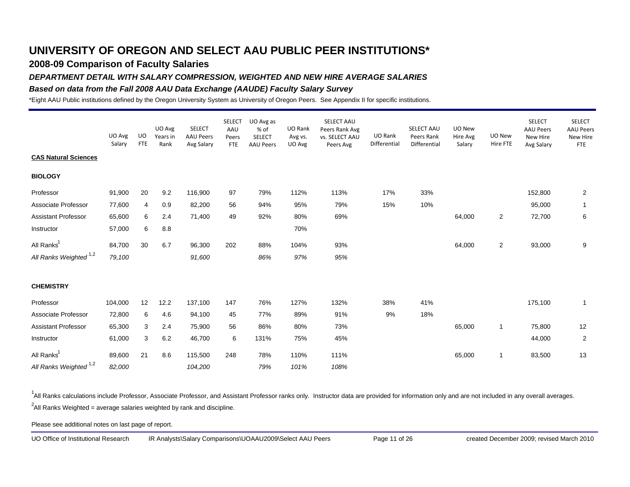### **2008-09 Comparison of Faculty Salaries**

### *DEPARTMENT DETAIL WITH SALARY COMPRESSION, WEIGHTED AND NEW HIRE AVERAGE SALARIES*

### *Based on data from the Fall 2008 AAU Data Exchange (AAUDE) Faculty Salary Survey*

\*Eight AAU Public institutions defined by the Oregon University System as University of Oregon Peers. See Appendix II for specific institutions.

|                                   | UO Avg<br>Salary | UO<br><b>FTE</b> | UO Avg<br>Years in<br>Rank | <b>SELECT</b><br><b>AAU Peers</b><br>Avg Salary | <b>SELECT</b><br>AAU<br>Peers<br>FTE | UO Avg as<br>% of<br>SELECT<br><b>AAU Peers</b> | UO Rank<br>Avg vs.<br>UO Avg | SELECT AAU<br>Peers Rank Avg<br>vs. SELECT AAU<br>Peers Avg | UO Rank<br>Differential | SELECT AAU<br>Peers Rank<br>Differential | UO New<br>Hire Avg<br>Salary | UO New<br>Hire FTE | <b>SELECT</b><br><b>AAU Peers</b><br>New Hire<br>Avg Salary | <b>SELECT</b><br><b>AAU Peers</b><br>New Hire<br><b>FTE</b> |
|-----------------------------------|------------------|------------------|----------------------------|-------------------------------------------------|--------------------------------------|-------------------------------------------------|------------------------------|-------------------------------------------------------------|-------------------------|------------------------------------------|------------------------------|--------------------|-------------------------------------------------------------|-------------------------------------------------------------|
| <b>CAS Natural Sciences</b>       |                  |                  |                            |                                                 |                                      |                                                 |                              |                                                             |                         |                                          |                              |                    |                                                             |                                                             |
| <b>BIOLOGY</b>                    |                  |                  |                            |                                                 |                                      |                                                 |                              |                                                             |                         |                                          |                              |                    |                                                             |                                                             |
| Professor                         | 91,900           | 20               | 9.2                        | 116,900                                         | 97                                   | 79%                                             | 112%                         | 113%                                                        | 17%                     | 33%                                      |                              |                    | 152,800                                                     | $\overline{2}$                                              |
| Associate Professor               | 77,600           | 4                | 0.9                        | 82,200                                          | 56                                   | 94%                                             | 95%                          | 79%                                                         | 15%                     | 10%                                      |                              |                    | 95,000                                                      | $\mathbf{1}$                                                |
| <b>Assistant Professor</b>        | 65,600           | 6                | 2.4                        | 71,400                                          | 49                                   | 92%                                             | 80%                          | 69%                                                         |                         |                                          | 64,000                       | $\boldsymbol{2}$   | 72,700                                                      | 6                                                           |
| Instructor                        | 57,000           | 6                | 8.8                        |                                                 |                                      |                                                 | 70%                          |                                                             |                         |                                          |                              |                    |                                                             |                                                             |
| All Ranks <sup>1</sup>            | 84,700           | 30               | 6.7                        | 96,300                                          | 202                                  | 88%                                             | 104%                         | 93%                                                         |                         |                                          | 64,000                       | 2                  | 93,000                                                      | 9                                                           |
| All Ranks Weighted <sup>1,2</sup> | 79,100           |                  |                            | 91,600                                          |                                      | 86%                                             | 97%                          | 95%                                                         |                         |                                          |                              |                    |                                                             |                                                             |
| <b>CHEMISTRY</b>                  |                  |                  |                            |                                                 |                                      |                                                 |                              |                                                             |                         |                                          |                              |                    |                                                             |                                                             |
| Professor                         | 104,000          | 12               | 12.2                       | 137,100                                         | 147                                  | 76%                                             | 127%                         | 132%                                                        | 38%                     | 41%                                      |                              |                    | 175,100                                                     | $\mathbf{1}$                                                |
| Associate Professor               | 72,800           | 6                | 4.6                        | 94,100                                          | 45                                   | 77%                                             | 89%                          | 91%                                                         | 9%                      | 18%                                      |                              |                    |                                                             |                                                             |
| Assistant Professor               | 65,300           | 3                | 2.4                        | 75,900                                          | 56                                   | 86%                                             | 80%                          | 73%                                                         |                         |                                          | 65,000                       | $\mathbf{1}$       | 75,800                                                      | 12                                                          |
| Instructor                        | 61,000           | 3                | 6.2                        | 46,700                                          | 6                                    | 131%                                            | 75%                          | 45%                                                         |                         |                                          |                              |                    | 44,000                                                      | $\overline{2}$                                              |
| All Ranks <sup>1</sup>            | 89,600           | 21               | 8.6                        | 115,500                                         | 248                                  | 78%                                             | 110%                         | 111%                                                        |                         |                                          | 65,000                       | $\mathbf{1}$       | 83,500                                                      | 13                                                          |
| All Ranks Weighted <sup>1,2</sup> | 82,000           |                  |                            | 104,200                                         |                                      | 79%                                             | 101%                         | 108%                                                        |                         |                                          |                              |                    |                                                             |                                                             |

<sup>1</sup>All Ranks calculations include Professor, Associate Professor, and Assistant Professor ranks only. Instructor data are provided for information only and are not included in any overall averages.  $^2$ All Ranks Weighted = average salaries weighted by rank and discipline.

Please see additional notes on last page of report.

UO Office of Institutional Research IR Analysts\Salary Comparisons\UOAAU2009\Select AAU Peers Page 11 of 26 created December 2009; revised March 2010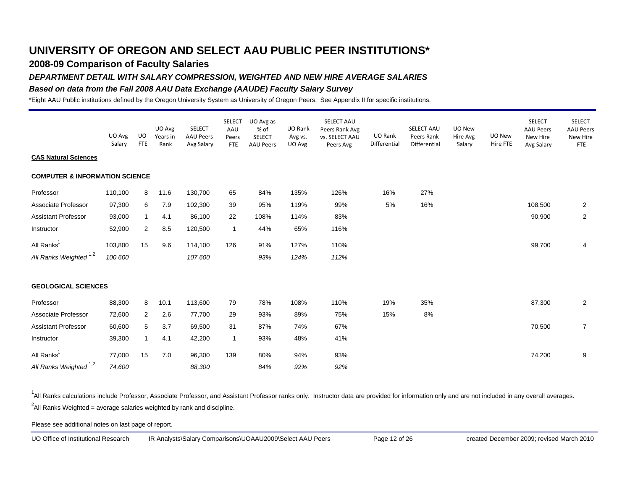### **2008-09 Comparison of Faculty Salaries**

### *DEPARTMENT DETAIL WITH SALARY COMPRESSION, WEIGHTED AND NEW HIRE AVERAGE SALARIES*

### *Based on data from the Fall 2008 AAU Data Exchange (AAUDE) Faculty Salary Survey*

\*Eight AAU Public institutions defined by the Oregon University System as University of Oregon Peers. See Appendix II for specific institutions.

|                                           | UO Avg<br>Salary | UO<br><b>FTE</b> | UO Avg<br>Years in<br>Rank | <b>SELECT</b><br><b>AAU Peers</b><br>Avg Salary | <b>SELECT</b><br>AAU<br>Peers<br>FTE | UO Avg as<br>% of<br><b>SELECT</b><br><b>AAU Peers</b> | UO Rank<br>Avg vs.<br>UO Avg | SELECT AAU<br>Peers Rank Avg<br>vs. SELECT AAU<br>Peers Avg | UO Rank<br>Differential | SELECT AAU<br>Peers Rank<br>Differential | UO New<br>Hire Avg<br>Salary | UO New<br>Hire FTE | <b>SELECT</b><br><b>AAU Peers</b><br>New Hire<br>Avg Salary | <b>SELECT</b><br><b>AAU Peers</b><br>New Hire<br><b>FTE</b> |
|-------------------------------------------|------------------|------------------|----------------------------|-------------------------------------------------|--------------------------------------|--------------------------------------------------------|------------------------------|-------------------------------------------------------------|-------------------------|------------------------------------------|------------------------------|--------------------|-------------------------------------------------------------|-------------------------------------------------------------|
| <b>CAS Natural Sciences</b>               |                  |                  |                            |                                                 |                                      |                                                        |                              |                                                             |                         |                                          |                              |                    |                                                             |                                                             |
| <b>COMPUTER &amp; INFORMATION SCIENCE</b> |                  |                  |                            |                                                 |                                      |                                                        |                              |                                                             |                         |                                          |                              |                    |                                                             |                                                             |
| Professor                                 | 110,100          | 8                | 11.6                       | 130,700                                         | 65                                   | 84%                                                    | 135%                         | 126%                                                        | 16%                     | 27%                                      |                              |                    |                                                             |                                                             |
| Associate Professor                       | 97,300           | 6                | 7.9                        | 102,300                                         | 39                                   | 95%                                                    | 119%                         | 99%                                                         | 5%                      | 16%                                      |                              |                    | 108,500                                                     | $\overline{2}$                                              |
| <b>Assistant Professor</b>                | 93,000           | $\mathbf{1}$     | 4.1                        | 86,100                                          | 22                                   | 108%                                                   | 114%                         | 83%                                                         |                         |                                          |                              |                    | 90,900                                                      | $\overline{2}$                                              |
| Instructor                                | 52,900           | $\overline{2}$   | 8.5                        | 120,500                                         | $\mathbf{1}$                         | 44%                                                    | 65%                          | 116%                                                        |                         |                                          |                              |                    |                                                             |                                                             |
| All Ranks <sup>1</sup>                    | 103,800          | 15               | 9.6                        | 114,100                                         | 126                                  | 91%                                                    | 127%                         | 110%                                                        |                         |                                          |                              |                    | 99,700                                                      | 4                                                           |
| All Ranks Weighted <sup>1,2</sup>         | 100,600          |                  |                            | 107,600                                         |                                      | 93%                                                    | 124%                         | 112%                                                        |                         |                                          |                              |                    |                                                             |                                                             |
| <b>GEOLOGICAL SCIENCES</b>                |                  |                  |                            |                                                 |                                      |                                                        |                              |                                                             |                         |                                          |                              |                    |                                                             |                                                             |
| Professor                                 | 88,300           | 8                | 10.1                       | 113,600                                         | 79                                   | 78%                                                    | 108%                         | 110%                                                        | 19%                     | 35%                                      |                              |                    | 87,300                                                      | $\overline{2}$                                              |
| Associate Professor                       | 72,600           | 2                | 2.6                        | 77,700                                          | 29                                   | 93%                                                    | 89%                          | 75%                                                         | 15%                     | 8%                                       |                              |                    |                                                             |                                                             |
| <b>Assistant Professor</b>                | 60,600           | 5                | 3.7                        | 69,500                                          | 31                                   | 87%                                                    | 74%                          | 67%                                                         |                         |                                          |                              |                    | 70,500                                                      | $\overline{7}$                                              |
| Instructor                                | 39,300           | $\mathbf{1}$     | 4.1                        | 42,200                                          | $\mathbf{1}$                         | 93%                                                    | 48%                          | 41%                                                         |                         |                                          |                              |                    |                                                             |                                                             |
| All Ranks <sup>1</sup>                    | 77,000           | 15               | 7.0                        | 96,300                                          | 139                                  | 80%                                                    | 94%                          | 93%                                                         |                         |                                          |                              |                    | 74,200                                                      | 9                                                           |
| All Ranks Weighted <sup>1,2</sup>         | 74,600           |                  |                            | 88,300                                          |                                      | 84%                                                    | 92%                          | 92%                                                         |                         |                                          |                              |                    |                                                             |                                                             |

<sup>1</sup>All Ranks calculations include Professor, Associate Professor, and Assistant Professor ranks only. Instructor data are provided for information only and are not included in any overall averages.  $^2$ All Ranks Weighted = average salaries weighted by rank and discipline.

Please see additional notes on last page of report.

UO Office of Institutional Research IR Analysts\Salary Comparisons\UOAAU2009\Select AAU Peers Page 12 of 26 created December 2009; revised March 2010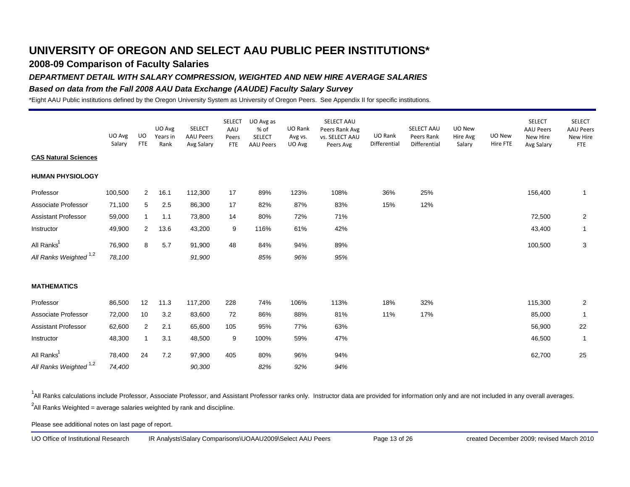### **2008-09 Comparison of Faculty Salaries**

### *DEPARTMENT DETAIL WITH SALARY COMPRESSION, WEIGHTED AND NEW HIRE AVERAGE SALARIES*

### *Based on data from the Fall 2008 AAU Data Exchange (AAUDE) Faculty Salary Survey*

\*Eight AAU Public institutions defined by the Oregon University System as University of Oregon Peers. See Appendix II for specific institutions.

|                                   | UO Avg<br>Salary | <b>UO</b><br><b>FTE</b> | UO Avg<br>Years in<br>Rank | <b>SELECT</b><br><b>AAU Peers</b><br>Avg Salary | <b>SELECT</b><br>AAU<br>Peers<br><b>FTE</b> | UO Avg as<br>% of<br><b>SELECT</b><br><b>AAU Peers</b> | UO Rank<br>Avg vs.<br>UO Avg | SELECT AAU<br>Peers Rank Avg<br>vs. SELECT AAU<br>Peers Avg | UO Rank<br>Differential | SELECT AAU<br>Peers Rank<br>Differential | UO New<br>Hire Avg<br>Salary | UO New<br>Hire FTE | <b>SELECT</b><br><b>AAU Peers</b><br>New Hire<br>Avg Salary | <b>SELECT</b><br><b>AAU Peers</b><br>New Hire<br><b>FTE</b> |
|-----------------------------------|------------------|-------------------------|----------------------------|-------------------------------------------------|---------------------------------------------|--------------------------------------------------------|------------------------------|-------------------------------------------------------------|-------------------------|------------------------------------------|------------------------------|--------------------|-------------------------------------------------------------|-------------------------------------------------------------|
| <b>CAS Natural Sciences</b>       |                  |                         |                            |                                                 |                                             |                                                        |                              |                                                             |                         |                                          |                              |                    |                                                             |                                                             |
| <b>HUMAN PHYSIOLOGY</b>           |                  |                         |                            |                                                 |                                             |                                                        |                              |                                                             |                         |                                          |                              |                    |                                                             |                                                             |
| Professor                         | 100,500          | 2                       | 16.1                       | 112,300                                         | 17                                          | 89%                                                    | 123%                         | 108%                                                        | 36%                     | 25%                                      |                              |                    | 156,400                                                     | $\mathbf{1}$                                                |
| Associate Professor               | 71,100           | 5                       | 2.5                        | 86,300                                          | 17                                          | 82%                                                    | 87%                          | 83%                                                         | 15%                     | 12%                                      |                              |                    |                                                             |                                                             |
| <b>Assistant Professor</b>        | 59,000           | $\mathbf{1}$            | 1.1                        | 73,800                                          | 14                                          | 80%                                                    | 72%                          | 71%                                                         |                         |                                          |                              |                    | 72,500                                                      | $\overline{2}$                                              |
| Instructor                        | 49,900           | 2                       | 13.6                       | 43,200                                          | 9                                           | 116%                                                   | 61%                          | 42%                                                         |                         |                                          |                              |                    | 43,400                                                      | $\mathbf{1}$                                                |
| All Ranks <sup>1</sup>            | 76,900           | 8                       | 5.7                        | 91,900                                          | 48                                          | 84%                                                    | 94%                          | 89%                                                         |                         |                                          |                              |                    | 100,500                                                     | 3                                                           |
| All Ranks Weighted <sup>1,2</sup> | 78,100           |                         |                            | 91,900                                          |                                             | 85%                                                    | 96%                          | 95%                                                         |                         |                                          |                              |                    |                                                             |                                                             |
| <b>MATHEMATICS</b>                |                  |                         |                            |                                                 |                                             |                                                        |                              |                                                             |                         |                                          |                              |                    |                                                             |                                                             |
| Professor                         | 86,500           | 12                      | 11.3                       | 117,200                                         | 228                                         | 74%                                                    | 106%                         | 113%                                                        | 18%                     | 32%                                      |                              |                    | 115,300                                                     | $\overline{2}$                                              |
| Associate Professor               | 72,000           | 10                      | 3.2                        | 83,600                                          | 72                                          | 86%                                                    | 88%                          | 81%                                                         | 11%                     | 17%                                      |                              |                    | 85,000                                                      | $\overline{1}$                                              |
| <b>Assistant Professor</b>        | 62,600           | $\overline{2}$          | 2.1                        | 65,600                                          | 105                                         | 95%                                                    | 77%                          | 63%                                                         |                         |                                          |                              |                    | 56,900                                                      | 22                                                          |
| Instructor                        | 48,300           |                         | 3.1                        | 48,500                                          | 9                                           | 100%                                                   | 59%                          | 47%                                                         |                         |                                          |                              |                    | 46,500                                                      | $\mathbf{1}$                                                |
| All Ranks <sup>1</sup>            | 78,400           | 24                      | 7.2                        | 97,900                                          | 405                                         | 80%                                                    | 96%                          | 94%                                                         |                         |                                          |                              |                    | 62,700                                                      | 25                                                          |
| All Ranks Weighted <sup>1,2</sup> | 74,400           |                         |                            | 90,300                                          |                                             | 82%                                                    | 92%                          | 94%                                                         |                         |                                          |                              |                    |                                                             |                                                             |

<sup>1</sup>All Ranks calculations include Professor, Associate Professor, and Assistant Professor ranks only. Instructor data are provided for information only and are not included in any overall averages.  $^2$ All Ranks Weighted = average salaries weighted by rank and discipline.

Please see additional notes on last page of report.

UO Office of Institutional Research IR Analysts\Salary Comparisons\UOAAU2009\Select AAU Peers Page 13 of 26 created December 2009; revised March 2010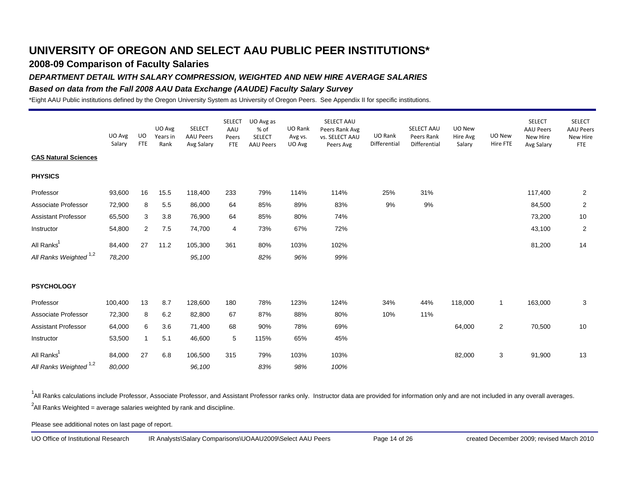### **2008-09 Comparison of Faculty Salaries**

### *DEPARTMENT DETAIL WITH SALARY COMPRESSION, WEIGHTED AND NEW HIRE AVERAGE SALARIES*

### *Based on data from the Fall 2008 AAU Data Exchange (AAUDE) Faculty Salary Survey*

\*Eight AAU Public institutions defined by the Oregon University System as University of Oregon Peers. See Appendix II for specific institutions.

|                                   | UO Avg<br>Salary | UO<br><b>FTE</b> | UO Avg<br>Years in<br>Rank | <b>SELECT</b><br><b>AAU Peers</b><br>Avg Salary | <b>SELECT</b><br>AAU<br>Peers<br>FTE | UO Avg as<br>% of<br>SELECT<br><b>AAU Peers</b> | UO Rank<br>Avg vs.<br>UO Avg | SELECT AAU<br>Peers Rank Avg<br>vs. SELECT AAU<br>Peers Avg | UO Rank<br>Differential | SELECT AAU<br>Peers Rank<br>Differential | UO New<br>Hire Avg<br>Salary | UO New<br>Hire FTE | <b>SELECT</b><br><b>AAU Peers</b><br>New Hire<br>Avg Salary | <b>SELECT</b><br><b>AAU Peers</b><br>New Hire<br><b>FTE</b> |
|-----------------------------------|------------------|------------------|----------------------------|-------------------------------------------------|--------------------------------------|-------------------------------------------------|------------------------------|-------------------------------------------------------------|-------------------------|------------------------------------------|------------------------------|--------------------|-------------------------------------------------------------|-------------------------------------------------------------|
| <b>CAS Natural Sciences</b>       |                  |                  |                            |                                                 |                                      |                                                 |                              |                                                             |                         |                                          |                              |                    |                                                             |                                                             |
| <b>PHYSICS</b>                    |                  |                  |                            |                                                 |                                      |                                                 |                              |                                                             |                         |                                          |                              |                    |                                                             |                                                             |
| Professor                         | 93,600           | 16               | 15.5                       | 118,400                                         | 233                                  | 79%                                             | 114%                         | 114%                                                        | 25%                     | 31%                                      |                              |                    | 117,400                                                     | $\overline{2}$                                              |
| Associate Professor               | 72,900           | 8                | 5.5                        | 86,000                                          | 64                                   | 85%                                             | 89%                          | 83%                                                         | 9%                      | 9%                                       |                              |                    | 84,500                                                      | $\overline{2}$                                              |
| <b>Assistant Professor</b>        | 65,500           | 3                | 3.8                        | 76,900                                          | 64                                   | 85%                                             | 80%                          | 74%                                                         |                         |                                          |                              |                    | 73,200                                                      | 10                                                          |
| Instructor                        | 54,800           | 2                | 7.5                        | 74,700                                          | 4                                    | 73%                                             | 67%                          | 72%                                                         |                         |                                          |                              |                    | 43,100                                                      | $\overline{2}$                                              |
| All Ranks <sup>1</sup>            | 84,400           | 27               | 11.2                       | 105,300                                         | 361                                  | 80%                                             | 103%                         | 102%                                                        |                         |                                          |                              |                    | 81,200                                                      | 14                                                          |
| All Ranks Weighted <sup>1,2</sup> | 78,200           |                  |                            | 95,100                                          |                                      | 82%                                             | 96%                          | 99%                                                         |                         |                                          |                              |                    |                                                             |                                                             |
| <b>PSYCHOLOGY</b>                 |                  |                  |                            |                                                 |                                      |                                                 |                              |                                                             |                         |                                          |                              |                    |                                                             |                                                             |
| Professor                         | 100,400          | 13               | 8.7                        | 128,600                                         | 180                                  | 78%                                             | 123%                         | 124%                                                        | 34%                     | 44%                                      | 118,000                      | $\mathbf{1}$       | 163,000                                                     | 3                                                           |
| Associate Professor               | 72,300           | 8                | 6.2                        | 82,800                                          | 67                                   | 87%                                             | 88%                          | 80%                                                         | 10%                     | 11%                                      |                              |                    |                                                             |                                                             |
| <b>Assistant Professor</b>        | 64,000           | 6                | 3.6                        | 71,400                                          | 68                                   | 90%                                             | 78%                          | 69%                                                         |                         |                                          | 64,000                       | $\overline{c}$     | 70,500                                                      | 10                                                          |
| Instructor                        | 53,500           | 1                | 5.1                        | 46,600                                          | 5                                    | 115%                                            | 65%                          | 45%                                                         |                         |                                          |                              |                    |                                                             |                                                             |
| All Ranks <sup>1</sup>            | 84,000           | 27               | 6.8                        | 106,500                                         | 315                                  | 79%                                             | 103%                         | 103%                                                        |                         |                                          | 82,000                       | 3                  | 91,900                                                      | 13                                                          |
| All Ranks Weighted <sup>1,2</sup> | 80,000           |                  |                            | 96,100                                          |                                      | 83%                                             | 98%                          | 100%                                                        |                         |                                          |                              |                    |                                                             |                                                             |

<sup>1</sup>All Ranks calculations include Professor, Associate Professor, and Assistant Professor ranks only. Instructor data are provided for information only and are not included in any overall averages.  $^2$ All Ranks Weighted = average salaries weighted by rank and discipline.

Please see additional notes on last page of report.

UO Office of Institutional Research IR Analysts\Salary Comparisons\UOAAU2009\Select AAU Peers Page 14 of 26 created December 2009; revised March 2010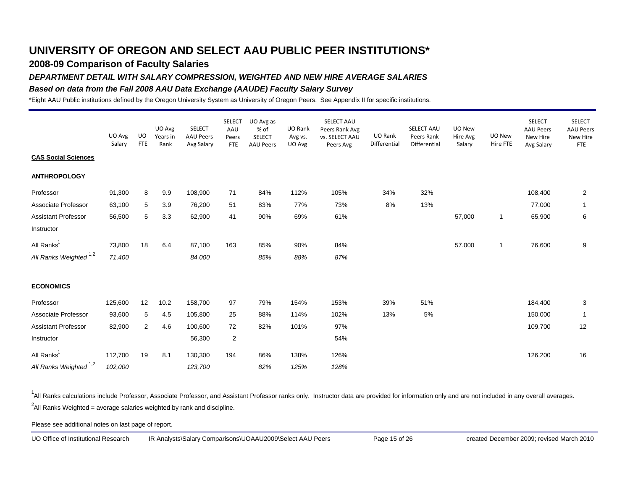### **2008-09 Comparison of Faculty Salaries**

### *DEPARTMENT DETAIL WITH SALARY COMPRESSION, WEIGHTED AND NEW HIRE AVERAGE SALARIES*

### *Based on data from the Fall 2008 AAU Data Exchange (AAUDE) Faculty Salary Survey*

\*Eight AAU Public institutions defined by the Oregon University System as University of Oregon Peers. See Appendix II for specific institutions.

|                                   | UO Avg<br>Salary | UO<br><b>FTE</b> | UO Avg<br>Years in<br>Rank | <b>SELECT</b><br><b>AAU Peers</b><br>Avg Salary | <b>SELECT</b><br>AAU<br>Peers<br>FTE | UO Avg as<br>% of<br>SELECT<br><b>AAU Peers</b> | UO Rank<br>Avg vs.<br>UO Avg | SELECT AAU<br>Peers Rank Avg<br>vs. SELECT AAU<br>Peers Avg | UO Rank<br>Differential | SELECT AAU<br>Peers Rank<br>Differential | UO New<br>Hire Avg<br>Salary | UO New<br>Hire FTE | <b>SELECT</b><br><b>AAU Peers</b><br>New Hire<br>Avg Salary | <b>SELECT</b><br><b>AAU Peers</b><br>New Hire<br><b>FTE</b> |
|-----------------------------------|------------------|------------------|----------------------------|-------------------------------------------------|--------------------------------------|-------------------------------------------------|------------------------------|-------------------------------------------------------------|-------------------------|------------------------------------------|------------------------------|--------------------|-------------------------------------------------------------|-------------------------------------------------------------|
| <b>CAS Social Sciences</b>        |                  |                  |                            |                                                 |                                      |                                                 |                              |                                                             |                         |                                          |                              |                    |                                                             |                                                             |
| <b>ANTHROPOLOGY</b>               |                  |                  |                            |                                                 |                                      |                                                 |                              |                                                             |                         |                                          |                              |                    |                                                             |                                                             |
| Professor                         | 91,300           | 8                | 9.9                        | 108,900                                         | 71                                   | 84%                                             | 112%                         | 105%                                                        | 34%                     | 32%                                      |                              |                    | 108,400                                                     | $\overline{2}$                                              |
| Associate Professor               | 63,100           | 5                | 3.9                        | 76,200                                          | 51                                   | 83%                                             | 77%                          | 73%                                                         | 8%                      | 13%                                      |                              |                    | 77,000                                                      | $\mathbf{1}$                                                |
| <b>Assistant Professor</b>        | 56,500           | 5                | 3.3                        | 62,900                                          | 41                                   | 90%                                             | 69%                          | 61%                                                         |                         |                                          | 57,000                       | $\mathbf{1}$       | 65,900                                                      | 6                                                           |
| Instructor                        |                  |                  |                            |                                                 |                                      |                                                 |                              |                                                             |                         |                                          |                              |                    |                                                             |                                                             |
| All Ranks <sup>1</sup>            | 73,800           | 18               | 6.4                        | 87,100                                          | 163                                  | 85%                                             | 90%                          | 84%                                                         |                         |                                          | 57,000                       | $\mathbf{1}$       | 76,600                                                      | 9                                                           |
| All Ranks Weighted <sup>1,2</sup> | 71,400           |                  |                            | 84,000                                          |                                      | 85%                                             | 88%                          | 87%                                                         |                         |                                          |                              |                    |                                                             |                                                             |
| <b>ECONOMICS</b>                  |                  |                  |                            |                                                 |                                      |                                                 |                              |                                                             |                         |                                          |                              |                    |                                                             |                                                             |
| Professor                         | 125,600          | 12               | 10.2                       | 158,700                                         | 97                                   | 79%                                             | 154%                         | 153%                                                        | 39%                     | 51%                                      |                              |                    | 184,400                                                     | 3                                                           |
| Associate Professor               | 93,600           | 5                | 4.5                        | 105,800                                         | 25                                   | 88%                                             | 114%                         | 102%                                                        | 13%                     | $5\%$                                    |                              |                    | 150,000                                                     | $\mathbf{1}$                                                |
| <b>Assistant Professor</b>        | 82,900           | 2                | 4.6                        | 100,600                                         | 72                                   | 82%                                             | 101%                         | 97%                                                         |                         |                                          |                              |                    | 109,700                                                     | 12                                                          |
| Instructor                        |                  |                  |                            | 56,300                                          | $\overline{2}$                       |                                                 |                              | 54%                                                         |                         |                                          |                              |                    |                                                             |                                                             |
| All Ranks <sup>1</sup>            | 112,700          | 19               | 8.1                        | 130,300                                         | 194                                  | 86%                                             | 138%                         | 126%                                                        |                         |                                          |                              |                    | 126,200                                                     | 16                                                          |
| All Ranks Weighted <sup>1,2</sup> | 102,000          |                  |                            | 123,700                                         |                                      | 82%                                             | 125%                         | 128%                                                        |                         |                                          |                              |                    |                                                             |                                                             |

<sup>1</sup>All Ranks calculations include Professor, Associate Professor, and Assistant Professor ranks only. Instructor data are provided for information only and are not included in any overall averages.  $^2$ All Ranks Weighted = average salaries weighted by rank and discipline.

Please see additional notes on last page of report.

UO Office of Institutional Research IR Analysts\Salary Comparisons\UOAAU2009\Select AAU Peers Page 15 of 26 created December 2009; revised March 2010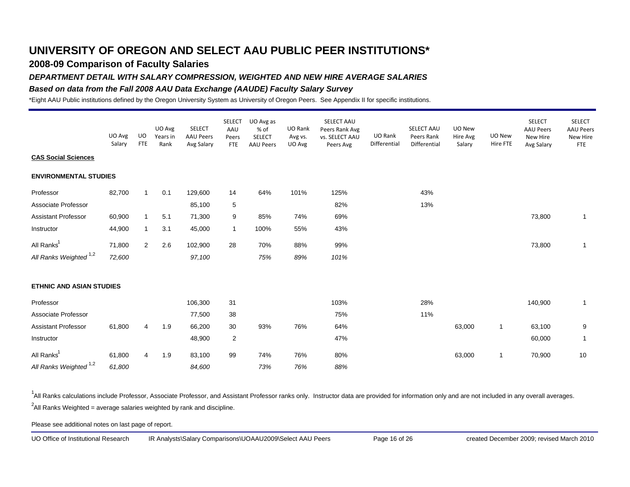### **2008-09 Comparison of Faculty Salaries**

### *DEPARTMENT DETAIL WITH SALARY COMPRESSION, WEIGHTED AND NEW HIRE AVERAGE SALARIES*

### *Based on data from the Fall 2008 AAU Data Exchange (AAUDE) Faculty Salary Survey*

\*Eight AAU Public institutions defined by the Oregon University System as University of Oregon Peers. See Appendix II for specific institutions.

|                                   | UO Avg<br>Salary | UO<br><b>FTE</b> | UO Avg<br>Years in<br>Rank | <b>SELECT</b><br><b>AAU Peers</b><br>Avg Salary | <b>SELECT</b><br>AAU<br>Peers<br>FTE | UO Avg as<br>% of<br>SELECT<br><b>AAU Peers</b> | UO Rank<br>Avg vs.<br>UO Avg | SELECT AAU<br>Peers Rank Avg<br>vs. SELECT AAU<br>Peers Avg | UO Rank<br>Differential | SELECT AAU<br>Peers Rank<br>Differential | UO New<br>Hire Avg<br>Salary | UO New<br>Hire FTE | <b>SELECT</b><br><b>AAU Peers</b><br>New Hire<br>Avg Salary | <b>SELECT</b><br><b>AAU Peers</b><br>New Hire<br><b>FTE</b> |
|-----------------------------------|------------------|------------------|----------------------------|-------------------------------------------------|--------------------------------------|-------------------------------------------------|------------------------------|-------------------------------------------------------------|-------------------------|------------------------------------------|------------------------------|--------------------|-------------------------------------------------------------|-------------------------------------------------------------|
| <b>CAS Social Sciences</b>        |                  |                  |                            |                                                 |                                      |                                                 |                              |                                                             |                         |                                          |                              |                    |                                                             |                                                             |
| <b>ENVIRONMENTAL STUDIES</b>      |                  |                  |                            |                                                 |                                      |                                                 |                              |                                                             |                         |                                          |                              |                    |                                                             |                                                             |
| Professor                         | 82,700           | $\mathbf{1}$     | 0.1                        | 129,600                                         | 14                                   | 64%                                             | 101%                         | 125%                                                        |                         | 43%                                      |                              |                    |                                                             |                                                             |
| Associate Professor               |                  |                  |                            | 85,100                                          | 5                                    |                                                 |                              | 82%                                                         |                         | 13%                                      |                              |                    |                                                             |                                                             |
| <b>Assistant Professor</b>        | 60,900           | $\mathbf 1$      | 5.1                        | 71,300                                          | 9                                    | 85%                                             | 74%                          | 69%                                                         |                         |                                          |                              |                    | 73,800                                                      | $\mathbf{1}$                                                |
| Instructor                        | 44,900           | $\mathbf{1}$     | 3.1                        | 45,000                                          | $\mathbf{1}$                         | 100%                                            | 55%                          | 43%                                                         |                         |                                          |                              |                    |                                                             |                                                             |
| All Ranks <sup>1</sup>            | 71,800           | $\overline{2}$   | 2.6                        | 102,900                                         | 28                                   | 70%                                             | 88%                          | 99%                                                         |                         |                                          |                              |                    | 73,800                                                      | $\mathbf{1}$                                                |
| All Ranks Weighted <sup>1,2</sup> | 72,600           |                  |                            | 97,100                                          |                                      | 75%                                             | 89%                          | 101%                                                        |                         |                                          |                              |                    |                                                             |                                                             |
| <b>ETHNIC AND ASIAN STUDIES</b>   |                  |                  |                            |                                                 |                                      |                                                 |                              |                                                             |                         |                                          |                              |                    |                                                             |                                                             |
| Professor                         |                  |                  |                            | 106,300                                         | 31                                   |                                                 |                              | 103%                                                        |                         | 28%                                      |                              |                    | 140,900                                                     | $\mathbf{1}$                                                |
| Associate Professor               |                  |                  |                            | 77,500                                          | 38                                   |                                                 |                              | 75%                                                         |                         | 11%                                      |                              |                    |                                                             |                                                             |
| Assistant Professor               | 61,800           | 4                | 1.9                        | 66,200                                          | 30                                   | 93%                                             | 76%                          | 64%                                                         |                         |                                          | 63,000                       | $\mathbf{1}$       | 63,100                                                      | 9                                                           |
| Instructor                        |                  |                  |                            | 48,900                                          | $\overline{2}$                       |                                                 |                              | 47%                                                         |                         |                                          |                              |                    | 60,000                                                      | $\mathbf{1}$                                                |
| All Ranks <sup>1</sup>            | 61,800           | 4                | 1.9                        | 83,100                                          | 99                                   | 74%                                             | 76%                          | 80%                                                         |                         |                                          | 63,000                       | $\mathbf{1}$       | 70,900                                                      | 10                                                          |
| All Ranks Weighted <sup>1,2</sup> | 61,800           |                  |                            | 84,600                                          |                                      | 73%                                             | 76%                          | 88%                                                         |                         |                                          |                              |                    |                                                             |                                                             |

<sup>1</sup>All Ranks calculations include Professor, Associate Professor, and Assistant Professor ranks only. Instructor data are provided for information only and are not included in any overall averages.  $^2$ All Ranks Weighted = average salaries weighted by rank and discipline.

Please see additional notes on last page of report.

UO Office of Institutional Research IR Analysts\Salary Comparisons\UOAAU2009\Select AAU Peers Page 16 of 26 created December 2009; revised March 2010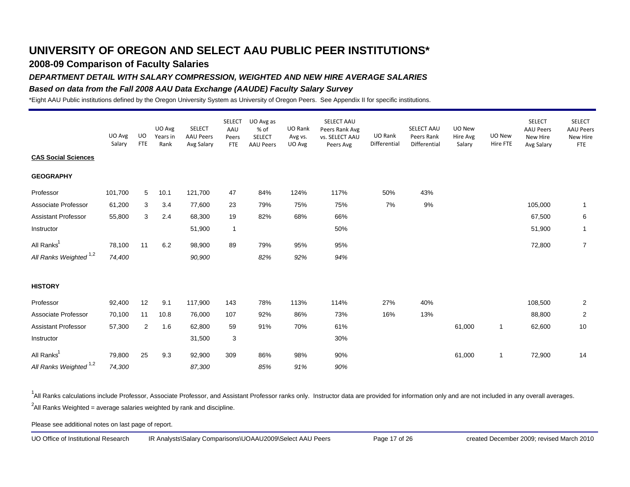### **2008-09 Comparison of Faculty Salaries**

### *DEPARTMENT DETAIL WITH SALARY COMPRESSION, WEIGHTED AND NEW HIRE AVERAGE SALARIES*

### *Based on data from the Fall 2008 AAU Data Exchange (AAUDE) Faculty Salary Survey*

\*Eight AAU Public institutions defined by the Oregon University System as University of Oregon Peers. See Appendix II for specific institutions.

|                                   | UO Avg<br>Salary | UO.<br><b>FTE</b> | UO Avg<br>Years in<br>Rank | <b>SELECT</b><br><b>AAU Peers</b><br>Avg Salary | <b>SELECT</b><br>AAU<br>Peers<br>FTE | UO Avg as<br>% of<br><b>SELECT</b><br><b>AAU Peers</b> | UO Rank<br>Avg vs.<br>UO Avg | SELECT AAU<br>Peers Rank Avg<br>vs. SELECT AAU<br>Peers Avg | UO Rank<br>Differential | SELECT AAU<br>Peers Rank<br>Differential | UO New<br>Hire Avg<br>Salary | UO New<br>Hire FTE | <b>SELECT</b><br><b>AAU Peers</b><br>New Hire<br>Avg Salary | <b>SELECT</b><br><b>AAU Peers</b><br>New Hire<br><b>FTE</b> |
|-----------------------------------|------------------|-------------------|----------------------------|-------------------------------------------------|--------------------------------------|--------------------------------------------------------|------------------------------|-------------------------------------------------------------|-------------------------|------------------------------------------|------------------------------|--------------------|-------------------------------------------------------------|-------------------------------------------------------------|
| <b>CAS Social Sciences</b>        |                  |                   |                            |                                                 |                                      |                                                        |                              |                                                             |                         |                                          |                              |                    |                                                             |                                                             |
| <b>GEOGRAPHY</b>                  |                  |                   |                            |                                                 |                                      |                                                        |                              |                                                             |                         |                                          |                              |                    |                                                             |                                                             |
| Professor                         | 101,700          | 5                 | 10.1                       | 121,700                                         | 47                                   | 84%                                                    | 124%                         | 117%                                                        | 50%                     | 43%                                      |                              |                    |                                                             |                                                             |
| Associate Professor               | 61,200           | 3                 | 3.4                        | 77,600                                          | 23                                   | 79%                                                    | 75%                          | 75%                                                         | 7%                      | 9%                                       |                              |                    | 105,000                                                     | $\mathbf{1}$                                                |
| <b>Assistant Professor</b>        | 55,800           | 3                 | 2.4                        | 68,300                                          | 19                                   | 82%                                                    | 68%                          | 66%                                                         |                         |                                          |                              |                    | 67,500                                                      | 6                                                           |
| Instructor                        |                  |                   |                            | 51,900                                          | $\mathbf{1}$                         |                                                        |                              | 50%                                                         |                         |                                          |                              |                    | 51,900                                                      | $\mathbf{1}$                                                |
| All Ranks <sup>1</sup>            | 78,100           | 11                | 6.2                        | 98,900                                          | 89                                   | 79%                                                    | 95%                          | 95%                                                         |                         |                                          |                              |                    | 72,800                                                      | $\overline{7}$                                              |
| All Ranks Weighted <sup>1,2</sup> | 74,400           |                   |                            | 90,900                                          |                                      | 82%                                                    | 92%                          | 94%                                                         |                         |                                          |                              |                    |                                                             |                                                             |
| <b>HISTORY</b>                    |                  |                   |                            |                                                 |                                      |                                                        |                              |                                                             |                         |                                          |                              |                    |                                                             |                                                             |
| Professor                         | 92,400           | 12                | 9.1                        | 117,900                                         | 143                                  | 78%                                                    | 113%                         | 114%                                                        | 27%                     | 40%                                      |                              |                    | 108,500                                                     | $\overline{2}$                                              |
| Associate Professor               | 70,100           | 11                | 10.8                       | 76,000                                          | 107                                  | 92%                                                    | 86%                          | 73%                                                         | 16%                     | 13%                                      |                              |                    | 88,800                                                      | $\overline{2}$                                              |
| <b>Assistant Professor</b>        | 57,300           | $\overline{2}$    | 1.6                        | 62,800                                          | 59                                   | 91%                                                    | 70%                          | 61%                                                         |                         |                                          | 61,000                       | $\mathbf{1}$       | 62,600                                                      | 10                                                          |
| Instructor                        |                  |                   |                            | 31,500                                          | 3                                    |                                                        |                              | 30%                                                         |                         |                                          |                              |                    |                                                             |                                                             |
| All Ranks <sup>1</sup>            | 79,800           | 25                | 9.3                        | 92,900                                          | 309                                  | 86%                                                    | 98%                          | 90%                                                         |                         |                                          | 61,000                       | $\mathbf{1}$       | 72,900                                                      | 14                                                          |
| All Ranks Weighted <sup>1,2</sup> | 74,300           |                   |                            | 87,300                                          |                                      | 85%                                                    | 91%                          | 90%                                                         |                         |                                          |                              |                    |                                                             |                                                             |

<sup>1</sup>All Ranks calculations include Professor, Associate Professor, and Assistant Professor ranks only. Instructor data are provided for information only and are not included in any overall averages.  $^2$ All Ranks Weighted = average salaries weighted by rank and discipline.

Please see additional notes on last page of report.

UO Office of Institutional Research IR Analysts\Salary Comparisons\UOAAU2009\Select AAU Peers Page 17 of 26 created December 2009; revised March 2010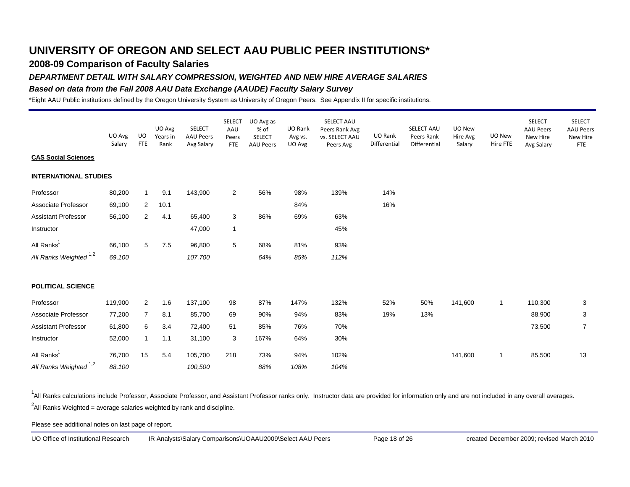### **2008-09 Comparison of Faculty Salaries**

#### *DEPARTMENT DETAIL WITH SALARY COMPRESSION, WEIGHTED AND NEW HIRE AVERAGE SALARIES*

### *Based on data from the Fall 2008 AAU Data Exchange (AAUDE) Faculty Salary Survey*

\*Eight AAU Public institutions defined by the Oregon University System as University of Oregon Peers. See Appendix II for specific institutions.

|                                   | UO Avg<br>Salary | UO<br><b>FTE</b> | UO Avg<br>Years in<br>Rank | <b>SELECT</b><br><b>AAU Peers</b><br>Avg Salary | <b>SELECT</b><br>AAU<br>Peers<br><b>FTE</b> | UO Avg as<br>% of<br><b>SELECT</b><br><b>AAU Peers</b> | UO Rank<br>Avg vs.<br>UO Avg | SELECT AAU<br>Peers Rank Avg<br>vs. SELECT AAU<br>Peers Avg | UO Rank<br>Differential | SELECT AAU<br>Peers Rank<br>Differential | UO New<br>Hire Avg<br>Salary | UO New<br>Hire FTE | <b>SELECT</b><br><b>AAU Peers</b><br>New Hire<br>Avg Salary | <b>SELECT</b><br><b>AAU Peers</b><br>New Hire<br>FTE |
|-----------------------------------|------------------|------------------|----------------------------|-------------------------------------------------|---------------------------------------------|--------------------------------------------------------|------------------------------|-------------------------------------------------------------|-------------------------|------------------------------------------|------------------------------|--------------------|-------------------------------------------------------------|------------------------------------------------------|
| <b>CAS Social Sciences</b>        |                  |                  |                            |                                                 |                                             |                                                        |                              |                                                             |                         |                                          |                              |                    |                                                             |                                                      |
| <b>INTERNATIONAL STUDIES</b>      |                  |                  |                            |                                                 |                                             |                                                        |                              |                                                             |                         |                                          |                              |                    |                                                             |                                                      |
| Professor                         | 80,200           | $\mathbf{1}$     | 9.1                        | 143,900                                         | $\overline{2}$                              | 56%                                                    | 98%                          | 139%                                                        | 14%                     |                                          |                              |                    |                                                             |                                                      |
| Associate Professor               | 69,100           | 2                | 10.1                       |                                                 |                                             |                                                        | 84%                          |                                                             | 16%                     |                                          |                              |                    |                                                             |                                                      |
| <b>Assistant Professor</b>        | 56,100           | $\overline{2}$   | 4.1                        | 65,400                                          | 3                                           | 86%                                                    | 69%                          | 63%                                                         |                         |                                          |                              |                    |                                                             |                                                      |
| Instructor                        |                  |                  |                            | 47,000                                          | $\mathbf{1}$                                |                                                        |                              | 45%                                                         |                         |                                          |                              |                    |                                                             |                                                      |
| All Ranks <sup>1</sup>            | 66,100           | 5                | 7.5                        | 96,800                                          | 5                                           | 68%                                                    | 81%                          | 93%                                                         |                         |                                          |                              |                    |                                                             |                                                      |
| All Ranks Weighted <sup>1,2</sup> | 69,100           |                  |                            | 107,700                                         |                                             | 64%                                                    | 85%                          | 112%                                                        |                         |                                          |                              |                    |                                                             |                                                      |
| <b>POLITICAL SCIENCE</b>          |                  |                  |                            |                                                 |                                             |                                                        |                              |                                                             |                         |                                          |                              |                    |                                                             |                                                      |
| Professor                         | 119,900          | 2                | 1.6                        | 137,100                                         | 98                                          | 87%                                                    | 147%                         | 132%                                                        | 52%                     | 50%                                      | 141,600                      | $\mathbf{1}$       | 110,300                                                     | 3                                                    |
| Associate Professor               | 77,200           | $\overline{7}$   | 8.1                        | 85,700                                          | 69                                          | 90%                                                    | 94%                          | 83%                                                         | 19%                     | 13%                                      |                              |                    | 88,900                                                      | 3                                                    |
| <b>Assistant Professor</b>        | 61,800           | 6                | 3.4                        | 72,400                                          | 51                                          | 85%                                                    | 76%                          | 70%                                                         |                         |                                          |                              |                    | 73,500                                                      | $\overline{7}$                                       |
| Instructor                        | 52,000           | $\mathbf{1}$     | 1.1                        | 31,100                                          | 3                                           | 167%                                                   | 64%                          | 30%                                                         |                         |                                          |                              |                    |                                                             |                                                      |
| All Ranks <sup>1</sup>            | 76,700           | 15               | 5.4                        | 105,700                                         | 218                                         | 73%                                                    | 94%                          | 102%                                                        |                         |                                          | 141,600                      | $\mathbf{1}$       | 85,500                                                      | 13                                                   |
| All Ranks Weighted <sup>1,2</sup> | 88,100           |                  |                            | 100,500                                         |                                             | 88%                                                    | 108%                         | 104%                                                        |                         |                                          |                              |                    |                                                             |                                                      |

<sup>1</sup>All Ranks calculations include Professor, Associate Professor, and Assistant Professor ranks only. Instructor data are provided for information only and are not included in any overall averages.  $^2$ All Ranks Weighted = average salaries weighted by rank and discipline.

Please see additional notes on last page of report.

UO Office of Institutional Research IR Analysts\Salary Comparisons\UOAAU2009\Select AAU Peers Page 18 of 26 created December 2009; revised March 2010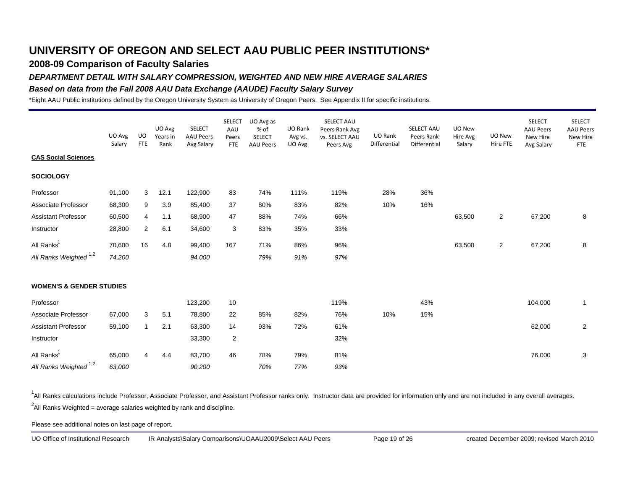### **2008-09 Comparison of Faculty Salaries**

### *DEPARTMENT DETAIL WITH SALARY COMPRESSION, WEIGHTED AND NEW HIRE AVERAGE SALARIES*

### *Based on data from the Fall 2008 AAU Data Exchange (AAUDE) Faculty Salary Survey*

\*Eight AAU Public institutions defined by the Oregon University System as University of Oregon Peers. See Appendix II for specific institutions.

|                                     | UO Avg<br>Salary | UO<br><b>FTE</b> | UO Avg<br>Years in<br>Rank | <b>SELECT</b><br><b>AAU Peers</b><br>Avg Salary | <b>SELECT</b><br>AAU<br>Peers<br><b>FTE</b> | UO Avg as<br>% of<br>SELECT<br><b>AAU Peers</b> | UO Rank<br>Avg vs.<br>UO Avg | SELECT AAU<br>Peers Rank Avg<br>vs. SELECT AAU<br>Peers Avg | UO Rank<br>Differential | SELECT AAU<br>Peers Rank<br>Differential | UO New<br>Hire Avg<br>Salary | UO New<br>Hire FTE | <b>SELECT</b><br><b>AAU Peers</b><br>New Hire<br>Avg Salary | <b>SELECT</b><br><b>AAU Peers</b><br>New Hire<br><b>FTE</b> |
|-------------------------------------|------------------|------------------|----------------------------|-------------------------------------------------|---------------------------------------------|-------------------------------------------------|------------------------------|-------------------------------------------------------------|-------------------------|------------------------------------------|------------------------------|--------------------|-------------------------------------------------------------|-------------------------------------------------------------|
| <b>CAS Social Sciences</b>          |                  |                  |                            |                                                 |                                             |                                                 |                              |                                                             |                         |                                          |                              |                    |                                                             |                                                             |
| <b>SOCIOLOGY</b>                    |                  |                  |                            |                                                 |                                             |                                                 |                              |                                                             |                         |                                          |                              |                    |                                                             |                                                             |
| Professor                           | 91,100           | 3                | 12.1                       | 122,900                                         | 83                                          | 74%                                             | 111%                         | 119%                                                        | 28%                     | 36%                                      |                              |                    |                                                             |                                                             |
| Associate Professor                 | 68,300           | 9                | 3.9                        | 85,400                                          | 37                                          | 80%                                             | 83%                          | 82%                                                         | 10%                     | 16%                                      |                              |                    |                                                             |                                                             |
| <b>Assistant Professor</b>          | 60,500           | 4                | 1.1                        | 68,900                                          | 47                                          | 88%                                             | 74%                          | 66%                                                         |                         |                                          | 63,500                       | $\overline{2}$     | 67,200                                                      | 8                                                           |
| Instructor                          | 28,800           | $\overline{2}$   | 6.1                        | 34,600                                          | 3                                           | 83%                                             | 35%                          | 33%                                                         |                         |                                          |                              |                    |                                                             |                                                             |
| All Ranks <sup>1</sup>              | 70,600           | 16               | 4.8                        | 99,400                                          | 167                                         | 71%                                             | 86%                          | 96%                                                         |                         |                                          | 63,500                       | $\overline{2}$     | 67,200                                                      | 8                                                           |
| All Ranks Weighted <sup>1,2</sup>   | 74,200           |                  |                            | 94,000                                          |                                             | 79%                                             | 91%                          | 97%                                                         |                         |                                          |                              |                    |                                                             |                                                             |
| <b>WOMEN'S &amp; GENDER STUDIES</b> |                  |                  |                            |                                                 |                                             |                                                 |                              |                                                             |                         |                                          |                              |                    |                                                             |                                                             |
| Professor                           |                  |                  |                            | 123,200                                         | 10                                          |                                                 |                              | 119%                                                        |                         | 43%                                      |                              |                    | 104,000                                                     | $\mathbf{1}$                                                |
| Associate Professor                 | 67,000           | 3                | 5.1                        | 78,800                                          | 22                                          | 85%                                             | 82%                          | 76%                                                         | 10%                     | 15%                                      |                              |                    |                                                             |                                                             |
| <b>Assistant Professor</b>          | 59,100           | $\mathbf{1}$     | 2.1                        | 63,300                                          | 14                                          | 93%                                             | 72%                          | 61%                                                         |                         |                                          |                              |                    | 62,000                                                      | $\overline{2}$                                              |
| Instructor                          |                  |                  |                            | 33,300                                          | $\overline{2}$                              |                                                 |                              | 32%                                                         |                         |                                          |                              |                    |                                                             |                                                             |
| All Ranks <sup>1</sup>              | 65,000           | 4                | 4.4                        | 83,700                                          | 46                                          | 78%                                             | 79%                          | 81%                                                         |                         |                                          |                              |                    | 76,000                                                      | 3                                                           |
| All Ranks Weighted <sup>1,2</sup>   | 63,000           |                  |                            | 90,200                                          |                                             | 70%                                             | 77%                          | 93%                                                         |                         |                                          |                              |                    |                                                             |                                                             |

<sup>1</sup>All Ranks calculations include Professor, Associate Professor, and Assistant Professor ranks only. Instructor data are provided for information only and are not included in any overall averages.  $^2$ All Ranks Weighted = average salaries weighted by rank and discipline.

Please see additional notes on last page of report.

UO Office of Institutional Research IR Analysts\Salary Comparisons\UOAAU2009\Select AAU Peers Page 19 of 26 created December 2009; revised March 2010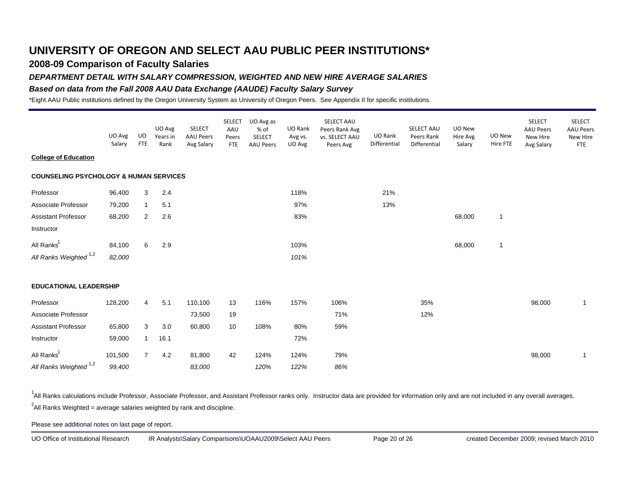### **2008-09 Comparison of Faculty Salaries**

#### *DEPARTMENT DETAIL WITH SALARY COMPRESSION, WEIGHTED AND NEW HIRE AVERAGE SALARIES*

#### *Based on data from the Fall 2008 AAU Data Exchange (AAUDE) Faculty Salary Survey*

\*Eight AAU Public institutions defined by the Oregon University System as University of Oregon Peers. See Appendix II for specific institutions.

|                                                   | UO Avg<br>Salary | UO.<br><b>FTE</b> | UO Avg<br>Years in<br>Rank | <b>SELECT</b><br><b>AAU Peers</b><br>Avg Salary | <b>SELECT</b><br>AAU<br>Peers<br><b>FTE</b> | UO Avg as<br>% of<br><b>SELECT</b><br><b>AAU Peers</b> | UO Rank<br>Avg vs.<br>UO Avg | SELECT AAU<br>Peers Rank Avg<br>vs. SELECT AAU<br>Peers Avg | UO Rank<br>Differential | SELECT AAU<br>Peers Rank<br>Differential | UO New<br>Hire Avg<br>Salary | UO New<br>Hire FTE | <b>SELECT</b><br><b>AAU Peers</b><br>New Hire<br>Avg Salary | <b>SELECT</b><br><b>AAU Peers</b><br>New Hire<br><b>FTE</b> |
|---------------------------------------------------|------------------|-------------------|----------------------------|-------------------------------------------------|---------------------------------------------|--------------------------------------------------------|------------------------------|-------------------------------------------------------------|-------------------------|------------------------------------------|------------------------------|--------------------|-------------------------------------------------------------|-------------------------------------------------------------|
| <b>College of Education</b>                       |                  |                   |                            |                                                 |                                             |                                                        |                              |                                                             |                         |                                          |                              |                    |                                                             |                                                             |
| <b>COUNSELING PSYCHOLOGY &amp; HUMAN SERVICES</b> |                  |                   |                            |                                                 |                                             |                                                        |                              |                                                             |                         |                                          |                              |                    |                                                             |                                                             |
| Professor                                         | 96,400           | 3                 | 2.4                        |                                                 |                                             |                                                        | 118%                         |                                                             | 21%                     |                                          |                              |                    |                                                             |                                                             |
| Associate Professor                               | 79,200           | $\mathbf{1}$      | 5.1                        |                                                 |                                             |                                                        | 97%                          |                                                             | 13%                     |                                          |                              |                    |                                                             |                                                             |
| <b>Assistant Professor</b>                        | 68,200           | 2                 | 2.6                        |                                                 |                                             |                                                        | 83%                          |                                                             |                         |                                          | 68,000                       | $\mathbf{1}$       |                                                             |                                                             |
| Instructor                                        |                  |                   |                            |                                                 |                                             |                                                        |                              |                                                             |                         |                                          |                              |                    |                                                             |                                                             |
| All Ranks <sup>1</sup>                            | 84,100           | 6                 | 2.9                        |                                                 |                                             |                                                        | 103%                         |                                                             |                         |                                          | 68,000                       | $\mathbf{1}$       |                                                             |                                                             |
| All Ranks Weighted <sup>1,2</sup>                 | 82,000           |                   |                            |                                                 |                                             |                                                        | 101%                         |                                                             |                         |                                          |                              |                    |                                                             |                                                             |
| <b>EDUCATIONAL LEADERSHIP</b>                     |                  |                   |                            |                                                 |                                             |                                                        |                              |                                                             |                         |                                          |                              |                    |                                                             |                                                             |
| Professor                                         | 128,200          | $\overline{4}$    | 5.1                        | 110,100                                         | 13                                          | 116%                                                   | 157%                         | 106%                                                        |                         | 35%                                      |                              |                    | 98,000                                                      | $\mathbf{1}$                                                |
| Associate Professor                               |                  |                   |                            | 73,500                                          | 19                                          |                                                        |                              | 71%                                                         |                         | 12%                                      |                              |                    |                                                             |                                                             |
| <b>Assistant Professor</b>                        | 65,800           | 3                 | 3.0                        | 60,800                                          | 10                                          | 108%                                                   | 80%                          | 59%                                                         |                         |                                          |                              |                    |                                                             |                                                             |
| Instructor                                        | 59,000           | $\mathbf{1}$      | 16.1                       |                                                 |                                             |                                                        | 72%                          |                                                             |                         |                                          |                              |                    |                                                             |                                                             |
| All Ranks <sup>1</sup>                            | 101,500          | $\overline{7}$    | 4.2                        | 81,800                                          | 42                                          | 124%                                                   | 124%                         | 79%                                                         |                         |                                          |                              |                    | 98,000                                                      | $\mathbf{1}$                                                |
| All Ranks Weighted <sup>1,2</sup>                 | 99,400           |                   |                            | 83,000                                          |                                             | 120%                                                   | 122%                         | 86%                                                         |                         |                                          |                              |                    |                                                             |                                                             |

<sup>1</sup>All Ranks calculations include Professor, Associate Professor, and Assistant Professor ranks only. Instructor data are provided for information only and are not included in any overall averages.  $^2$ All Ranks Weighted = average salaries weighted by rank and discipline.

Please see additional notes on last page of report.

UO Office of Institutional Research IR Analysts\Salary Comparisons\UOAAU2009\Select AAU Peers Page 20 of 26 created December 2009; revised March 2010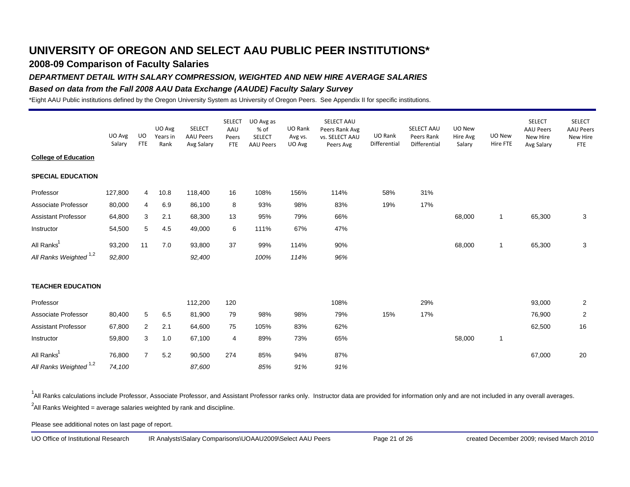### **2008-09 Comparison of Faculty Salaries**

### *DEPARTMENT DETAIL WITH SALARY COMPRESSION, WEIGHTED AND NEW HIRE AVERAGE SALARIES*

### *Based on data from the Fall 2008 AAU Data Exchange (AAUDE) Faculty Salary Survey*

\*Eight AAU Public institutions defined by the Oregon University System as University of Oregon Peers. See Appendix II for specific institutions.

|                                   | UO Avg<br>Salary | UO<br><b>FTE</b> | UO Avg<br>Years in<br>Rank | <b>SELECT</b><br><b>AAU Peers</b><br>Avg Salary | <b>SELECT</b><br>AAU<br>Peers<br>FTE | UO Avg as<br>% of<br>SELECT<br><b>AAU Peers</b> | UO Rank<br>Avg vs.<br>UO Avg | SELECT AAU<br>Peers Rank Avg<br>vs. SELECT AAU<br>Peers Avg | UO Rank<br>Differential | SELECT AAU<br>Peers Rank<br>Differential | UO New<br>Hire Avg<br>Salary | UO New<br>Hire FTE | <b>SELECT</b><br><b>AAU Peers</b><br>New Hire<br>Avg Salary | <b>SELECT</b><br><b>AAU Peers</b><br>New Hire<br><b>FTE</b> |
|-----------------------------------|------------------|------------------|----------------------------|-------------------------------------------------|--------------------------------------|-------------------------------------------------|------------------------------|-------------------------------------------------------------|-------------------------|------------------------------------------|------------------------------|--------------------|-------------------------------------------------------------|-------------------------------------------------------------|
| <b>College of Education</b>       |                  |                  |                            |                                                 |                                      |                                                 |                              |                                                             |                         |                                          |                              |                    |                                                             |                                                             |
| <b>SPECIAL EDUCATION</b>          |                  |                  |                            |                                                 |                                      |                                                 |                              |                                                             |                         |                                          |                              |                    |                                                             |                                                             |
| Professor                         | 127,800          | 4                | 10.8                       | 118,400                                         | 16                                   | 108%                                            | 156%                         | 114%                                                        | 58%                     | 31%                                      |                              |                    |                                                             |                                                             |
| Associate Professor               | 80,000           | $\overline{4}$   | 6.9                        | 86,100                                          | 8                                    | 93%                                             | 98%                          | 83%                                                         | 19%                     | 17%                                      |                              |                    |                                                             |                                                             |
| <b>Assistant Professor</b>        | 64,800           | 3                | 2.1                        | 68,300                                          | 13                                   | 95%                                             | 79%                          | 66%                                                         |                         |                                          | 68,000                       | $\mathbf{1}$       | 65,300                                                      | 3                                                           |
| Instructor                        | 54,500           | 5                | 4.5                        | 49,000                                          | 6                                    | 111%                                            | 67%                          | 47%                                                         |                         |                                          |                              |                    |                                                             |                                                             |
| All Ranks <sup>1</sup>            | 93,200           | 11               | 7.0                        | 93,800                                          | 37                                   | 99%                                             | 114%                         | 90%                                                         |                         |                                          | 68,000                       | $\mathbf{1}$       | 65,300                                                      | 3                                                           |
| All Ranks Weighted <sup>1,2</sup> | 92,800           |                  |                            | 92,400                                          |                                      | 100%                                            | 114%                         | 96%                                                         |                         |                                          |                              |                    |                                                             |                                                             |
| <b>TEACHER EDUCATION</b>          |                  |                  |                            |                                                 |                                      |                                                 |                              |                                                             |                         |                                          |                              |                    |                                                             |                                                             |
| Professor                         |                  |                  |                            | 112,200                                         | 120                                  |                                                 |                              | 108%                                                        |                         | 29%                                      |                              |                    | 93,000                                                      | $\overline{2}$                                              |
| Associate Professor               | 80,400           | 5                | 6.5                        | 81,900                                          | 79                                   | 98%                                             | 98%                          | 79%                                                         | 15%                     | 17%                                      |                              |                    | 76,900                                                      | $\overline{2}$                                              |
| <b>Assistant Professor</b>        | 67,800           | 2                | 2.1                        | 64,600                                          | 75                                   | 105%                                            | 83%                          | 62%                                                         |                         |                                          |                              |                    | 62,500                                                      | 16                                                          |
| Instructor                        | 59,800           | 3                | 1.0                        | 67,100                                          | 4                                    | 89%                                             | 73%                          | 65%                                                         |                         |                                          | 58,000                       | $\mathbf{1}$       |                                                             |                                                             |
| All Ranks <sup>1</sup>            | 76,800           | $\overline{7}$   | 5.2                        | 90,500                                          | 274                                  | 85%                                             | 94%                          | 87%                                                         |                         |                                          |                              |                    | 67,000                                                      | 20                                                          |
| All Ranks Weighted <sup>1,2</sup> | 74,100           |                  |                            | 87,600                                          |                                      | 85%                                             | 91%                          | 91%                                                         |                         |                                          |                              |                    |                                                             |                                                             |

<sup>1</sup>All Ranks calculations include Professor, Associate Professor, and Assistant Professor ranks only. Instructor data are provided for information only and are not included in any overall averages.  $^2$ All Ranks Weighted = average salaries weighted by rank and discipline.

Please see additional notes on last page of report.

UO Office of Institutional Research IR Analysts\Salary Comparisons\UOAAU2009\Select AAU Peers Page 21 of 26 created December 2009; revised March 2010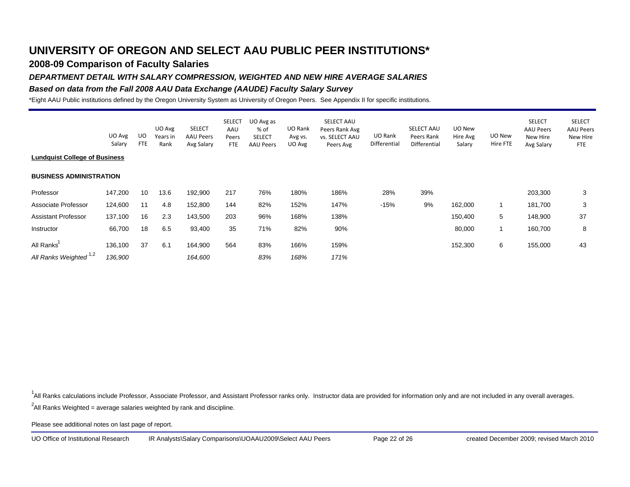## **2008-09 Comparison of Faculty Salaries**

### *DEPARTMENT DETAIL WITH SALARY COMPRESSION, WEIGHTED AND NEW HIRE AVERAGE SALARIES*

### *Based on data from the Fall 2008 AAU Data Exchange (AAUDE) Faculty Salary Survey*

\*Eight AAU Public institutions defined by the Oregon University System as University of Oregon Peers. See Appendix II for specific institutions.

|                                      |                  |                  | UO Avg           | <b>SELECT</b>                  | <b>SELECT</b><br>AAU | UO Avg as<br>% of                 | UO Rank           | SELECT AAU<br>Peers Rank Avg       |                         | <b>SELECT AAU</b>          | UO New             |                    | <b>SELECT</b><br>AAU Peers | <b>SELECT</b><br><b>AAU Peers</b> |
|--------------------------------------|------------------|------------------|------------------|--------------------------------|----------------------|-----------------------------------|-------------------|------------------------------------|-------------------------|----------------------------|--------------------|--------------------|----------------------------|-----------------------------------|
|                                      | UO Avg<br>Salary | UO<br><b>FTE</b> | Years in<br>Rank | <b>AAU Peers</b><br>Avg Salary | Peers<br><b>FTE</b>  | <b>SELECT</b><br><b>AAU Peers</b> | Avg vs.<br>UO Avg | <b>vs. SELECT AAU</b><br>Peers Avg | UO Rank<br>Differential | Peers Rank<br>Differential | Hire Avg<br>Salary | UO New<br>Hire FTE | New Hire<br>Avg Salary     | New Hire<br><b>FTE</b>            |
| <b>Lundquist College of Business</b> |                  |                  |                  |                                |                      |                                   |                   |                                    |                         |                            |                    |                    |                            |                                   |
| <b>BUSINESS ADMINISTRATION</b>       |                  |                  |                  |                                |                      |                                   |                   |                                    |                         |                            |                    |                    |                            |                                   |
| Professor                            | 147,200          | 10               | 13.6             | 192,900                        | 217                  | 76%                               | 180%              | 186%                               | 28%                     | 39%                        |                    |                    | 203,300                    | 3                                 |
| Associate Professor                  | 124,600          | 11               | 4.8              | 152,800                        | 144                  | 82%                               | 152%              | 147%                               | $-15%$                  | 9%                         | 162,000            | 1                  | 181,700                    | 3                                 |
| <b>Assistant Professor</b>           | 137,100          | 16               | 2.3              | 143,500                        | 203                  | 96%                               | 168%              | 138%                               |                         |                            | 150,400            | 5                  | 148,900                    | 37                                |
| Instructor                           | 66,700           | 18               | 6.5              | 93,400                         | 35                   | 71%                               | 82%               | 90%                                |                         |                            | 80,000             | 1                  | 160,700                    | 8                                 |
| All Ranks                            | 136,100          | 37               | 6.1              | 164,900                        | 564                  | 83%                               | 166%              | 159%                               |                         |                            | 152,300            | 6                  | 155,000                    | 43                                |
| All Ranks Weighted <sup>1,2</sup>    | 136,900          |                  |                  | 164,600                        |                      | 83%                               | 168%              | 171%                               |                         |                            |                    |                    |                            |                                   |

<sup>1</sup>All Ranks calculations include Professor, Associate Professor, and Assistant Professor ranks only. Instructor data are provided for information only and are not included in any overall averages.

 $^2$ All Ranks Weighted = average salaries weighted by rank and discipline.

Please see additional notes on last page of report.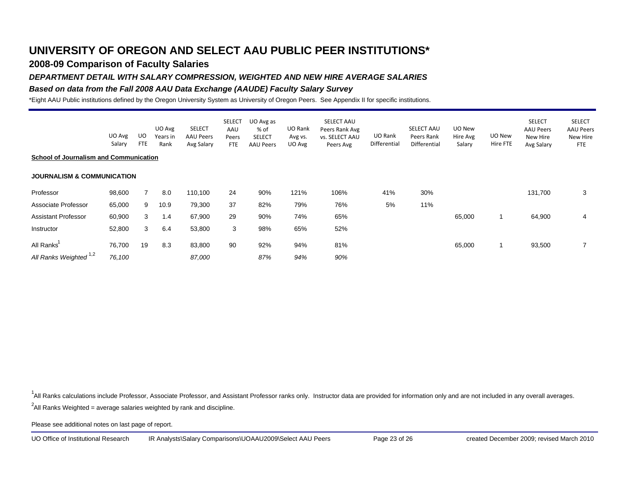## **2008-09 Comparison of Faculty Salaries**

### *DEPARTMENT DETAIL WITH SALARY COMPRESSION, WEIGHTED AND NEW HIRE AVERAGE SALARIES*

### *Based on data from the Fall 2008 AAU Data Exchange (AAUDE) Faculty Salary Survey*

\*Eight AAU Public institutions defined by the Oregon University System as University of Oregon Peers. See Appendix II for specific institutions.

|                                               | UO Avg<br>Salary | UO<br><b>FTE</b> | UO Avg<br>Years in<br>Rank | <b>SELECT</b><br><b>AAU Peers</b><br>Avg Salary | <b>SELECT</b><br>AAU<br>Peers<br>FTE | UO Avg as<br>% of<br><b>SELECT</b><br><b>AAU Peers</b> | UO Rank<br>Avg vs.<br>UO Avg | SELECT AAU<br>Peers Rank Avg<br><b>vs. SELECT AAU</b><br>Peers Avg | UO Rank<br>Differential | SELECT AAU<br>Peers Rank<br>Differential | UO New<br>Hire Avg<br>Salary | UO New<br>Hire FTE | <b>SELECT</b><br><b>AAU Peers</b><br>New Hire<br>Avg Salary | <b>SELECT</b><br><b>AAU Peers</b><br>New Hire<br><b>FTE</b> |
|-----------------------------------------------|------------------|------------------|----------------------------|-------------------------------------------------|--------------------------------------|--------------------------------------------------------|------------------------------|--------------------------------------------------------------------|-------------------------|------------------------------------------|------------------------------|--------------------|-------------------------------------------------------------|-------------------------------------------------------------|
| <b>School of Journalism and Communication</b> |                  |                  |                            |                                                 |                                      |                                                        |                              |                                                                    |                         |                                          |                              |                    |                                                             |                                                             |
| <b>JOURNALISM &amp; COMMUNICATION</b>         |                  |                  |                            |                                                 |                                      |                                                        |                              |                                                                    |                         |                                          |                              |                    |                                                             |                                                             |
| Professor                                     | 98,600           |                  | 8.0                        | 110,100                                         | 24                                   | 90%                                                    | 121%                         | 106%                                                               | 41%                     | 30%                                      |                              |                    | 131,700                                                     | 3                                                           |
| Associate Professor                           | 65,000           | 9                | 10.9                       | 79,300                                          | 37                                   | 82%                                                    | 79%                          | 76%                                                                | 5%                      | 11%                                      |                              |                    |                                                             |                                                             |
| <b>Assistant Professor</b>                    | 60,900           | 3                | 1.4                        | 67,900                                          | 29                                   | 90%                                                    | 74%                          | 65%                                                                |                         |                                          | 65,000                       | $\overline{1}$     | 64,900                                                      | 4                                                           |
| Instructor                                    | 52,800           | 3                | 6.4                        | 53,800                                          | 3                                    | 98%                                                    | 65%                          | 52%                                                                |                         |                                          |                              |                    |                                                             |                                                             |
| All Ranks                                     | 76,700           | 19               | 8.3                        | 83,800                                          | 90                                   | 92%                                                    | 94%                          | 81%                                                                |                         |                                          | 65,000                       | 1                  | 93,500                                                      | 7                                                           |
| All Ranks Weighted <sup>1,2</sup>             | 76,100           |                  |                            | 87,000                                          |                                      | 87%                                                    | 94%                          | 90%                                                                |                         |                                          |                              |                    |                                                             |                                                             |

<sup>1</sup>All Ranks calculations include Professor, Associate Professor, and Assistant Professor ranks only. Instructor data are provided for information only and are not included in any overall averages.

 $^2$ All Ranks Weighted = average salaries weighted by rank and discipline.

Please see additional notes on last page of report.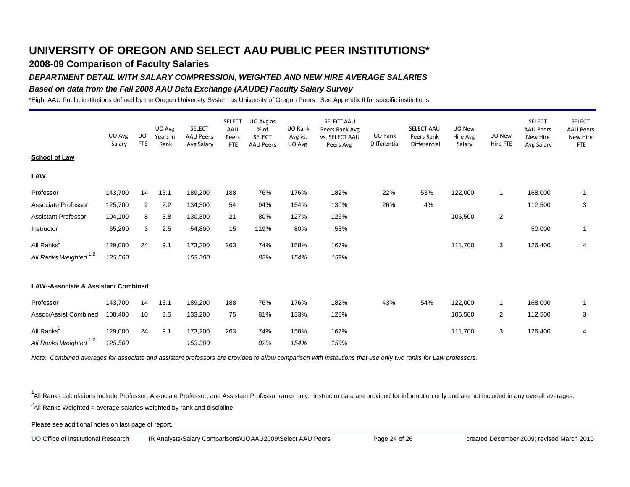### **2008-09 Comparison of Faculty Salaries**

### *DEPARTMENT DETAIL WITH SALARY COMPRESSION, WEIGHTED AND NEW HIRE AVERAGE SALARIES*

### *Based on data from the Fall 2008 AAU Data Exchange (AAUDE) Faculty Salary Survey*

\*Eight AAU Public institutions defined by the Oregon University System as University of Oregon Peers. See Appendix II for specific institutions.

|                                                | UO Avg<br>Salary | <b>UO</b><br><b>FTE</b> | UO Avg<br>Years in<br>Rank | <b>SELECT</b><br><b>AAU Peers</b><br>Avg Salary | <b>SELECT</b><br>AAU<br>Peers<br><b>FTE</b> | UO Avg as<br>% of<br><b>SELECT</b><br><b>AAU Peers</b> | UO Rank<br>Avg vs.<br>UO Avg | SELECT AAU<br>Peers Rank Avg<br>vs. SELECT AAU<br>Peers Avg | UO Rank<br>Differential | SELECT AAU<br>Peers Rank<br>Differential | UO New<br>Hire Avg<br>Salary | UO New<br>Hire FTE      | <b>SELECT</b><br><b>AAU Peers</b><br>New Hire<br>Avg Salary | <b>SELECT</b><br><b>AAU Peers</b><br>New Hire<br><b>FTE</b> |
|------------------------------------------------|------------------|-------------------------|----------------------------|-------------------------------------------------|---------------------------------------------|--------------------------------------------------------|------------------------------|-------------------------------------------------------------|-------------------------|------------------------------------------|------------------------------|-------------------------|-------------------------------------------------------------|-------------------------------------------------------------|
| <b>School of Law</b>                           |                  |                         |                            |                                                 |                                             |                                                        |                              |                                                             |                         |                                          |                              |                         |                                                             |                                                             |
| <b>LAW</b>                                     |                  |                         |                            |                                                 |                                             |                                                        |                              |                                                             |                         |                                          |                              |                         |                                                             |                                                             |
| Professor                                      | 143,700          | 14                      | 13.1                       | 189,200                                         | 188                                         | 76%                                                    | 176%                         | 182%                                                        | 22%                     | 53%                                      | 122,000                      | 1                       | 168,000                                                     | $\mathbf{1}$                                                |
| Associate Professor                            | 125,700          | $\overline{2}$          | 2.2                        | 134,300                                         | 54                                          | 94%                                                    | 154%                         | 130%                                                        | 26%                     | 4%                                       |                              |                         | 112,500                                                     | 3                                                           |
| <b>Assistant Professor</b>                     | 104,100          | 8                       | 3.8                        | 130,300                                         | 21                                          | 80%                                                    | 127%                         | 126%                                                        |                         |                                          | 106,500                      | $\overline{\mathbf{c}}$ |                                                             |                                                             |
| Instructor                                     | 65,200           | 3                       | 2.5                        | 54,800                                          | 15                                          | 119%                                                   | 80%                          | 53%                                                         |                         |                                          |                              |                         | 50,000                                                      | $\mathbf{1}$                                                |
| All Ranks <sup>1</sup>                         | 129,000          | 24                      | 9.1                        | 173,200                                         | 263                                         | 74%                                                    | 158%                         | 167%                                                        |                         |                                          | 111,700                      | 3                       | 126,400                                                     | $\overline{4}$                                              |
| All Ranks Weighted <sup>1,2</sup>              | 125,500          |                         |                            | 153,300                                         |                                             | 82%                                                    | 154%                         | 159%                                                        |                         |                                          |                              |                         |                                                             |                                                             |
| <b>LAW--Associate &amp; Assistant Combined</b> |                  |                         |                            |                                                 |                                             |                                                        |                              |                                                             |                         |                                          |                              |                         |                                                             |                                                             |
| Professor                                      | 143,700          | 14                      | 13.1                       | 189,200                                         | 188                                         | 76%                                                    | 176%                         | 182%                                                        | 43%                     | 54%                                      | 122,000                      | 1                       | 168,000                                                     | $\mathbf{1}$                                                |
| Assoc/Assist Combined                          | 108,400          | 10                      | 3.5                        | 133,200                                         | 75                                          | 81%                                                    | 133%                         | 128%                                                        |                         |                                          | 106,500                      | 2                       | 112,500                                                     | 3                                                           |
| All Ranks <sup>1</sup>                         | 129,000          | 24                      | 9.1                        | 173,200                                         | 263                                         | 74%                                                    | 158%                         | 167%                                                        |                         |                                          | 111,700                      | 3                       | 126,400                                                     | 4                                                           |
| All Ranks Weighted <sup>1,2</sup>              | 125,500          |                         |                            | 153,300                                         |                                             | 82%                                                    | 154%                         | 159%                                                        |                         |                                          |                              |                         |                                                             |                                                             |

*Note: Combined averages for associate and assistant professors are provided to allow comparison with institutions that use only two ranks for Law professors.*

<sup>1</sup>All Ranks calculations include Professor, Associate Professor, and Assistant Professor ranks only. Instructor data are provided for information only and are not included in any overall averages.  $^2$ All Ranks Weighted = average salaries weighted by rank and discipline.

Please see additional notes on last page of report.

UO Office of Institutional Research IR Analysts\Salary Comparisons\UOAAU2009\Select AAU Peers Page 24 of 26 created December 2009; revised March 2010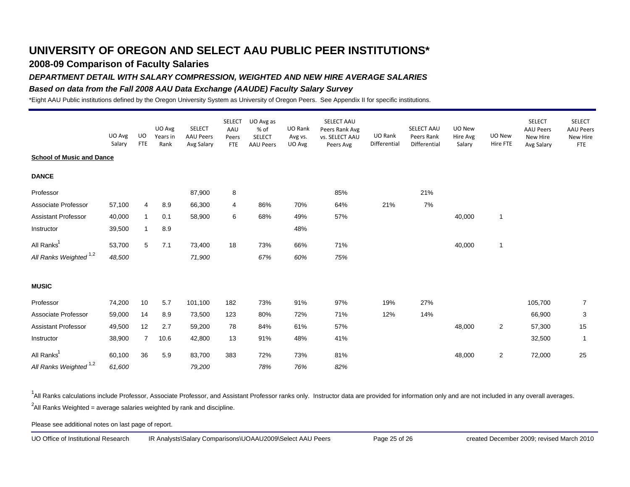### **2008-09 Comparison of Faculty Salaries**

### *DEPARTMENT DETAIL WITH SALARY COMPRESSION, WEIGHTED AND NEW HIRE AVERAGE SALARIES*

### *Based on data from the Fall 2008 AAU Data Exchange (AAUDE) Faculty Salary Survey*

\*Eight AAU Public institutions defined by the Oregon University System as University of Oregon Peers. See Appendix II for specific institutions.

|                                   | UO Avg<br>Salary | <b>UO</b><br><b>FTE</b> | UO Avg<br>Years in<br>Rank | <b>SELECT</b><br><b>AAU Peers</b><br>Avg Salary | <b>SELECT</b><br>AAU<br>Peers<br><b>FTE</b> | UO Avg as<br>% of<br><b>SELECT</b><br><b>AAU Peers</b> | UO Rank<br>Avg vs.<br>UO Avg | SELECT AAU<br>Peers Rank Avg<br>vs. SELECT AAU<br>Peers Avg | UO Rank<br>Differential | <b>SELECT AAU</b><br>Peers Rank<br>Differential | UO New<br>Hire Avg<br>Salary | UO New<br>Hire FTE | <b>SELECT</b><br><b>AAU Peers</b><br>New Hire<br>Avg Salary | <b>SELECT</b><br><b>AAU Peers</b><br>New Hire<br><b>FTE</b> |
|-----------------------------------|------------------|-------------------------|----------------------------|-------------------------------------------------|---------------------------------------------|--------------------------------------------------------|------------------------------|-------------------------------------------------------------|-------------------------|-------------------------------------------------|------------------------------|--------------------|-------------------------------------------------------------|-------------------------------------------------------------|
| <b>School of Music and Dance</b>  |                  |                         |                            |                                                 |                                             |                                                        |                              |                                                             |                         |                                                 |                              |                    |                                                             |                                                             |
| <b>DANCE</b>                      |                  |                         |                            |                                                 |                                             |                                                        |                              |                                                             |                         |                                                 |                              |                    |                                                             |                                                             |
| Professor                         |                  |                         |                            | 87,900                                          | 8                                           |                                                        |                              | 85%                                                         |                         | 21%                                             |                              |                    |                                                             |                                                             |
| Associate Professor               | 57,100           | $\overline{4}$          | 8.9                        | 66,300                                          | 4                                           | 86%                                                    | 70%                          | 64%                                                         | 21%                     | 7%                                              |                              |                    |                                                             |                                                             |
| <b>Assistant Professor</b>        | 40,000           | $\mathbf{1}$            | 0.1                        | 58,900                                          | 6                                           | 68%                                                    | 49%                          | 57%                                                         |                         |                                                 | 40,000                       | $\mathbf{1}$       |                                                             |                                                             |
| Instructor                        | 39,500           | 1                       | 8.9                        |                                                 |                                             |                                                        | 48%                          |                                                             |                         |                                                 |                              |                    |                                                             |                                                             |
| All Ranks <sup>1</sup>            | 53,700           | 5                       | 7.1                        | 73,400                                          | 18                                          | 73%                                                    | 66%                          | 71%                                                         |                         |                                                 | 40,000                       | $\mathbf{1}$       |                                                             |                                                             |
| All Ranks Weighted <sup>1,2</sup> | 48,500           |                         |                            | 71,900                                          |                                             | 67%                                                    | 60%                          | 75%                                                         |                         |                                                 |                              |                    |                                                             |                                                             |
| <b>MUSIC</b>                      |                  |                         |                            |                                                 |                                             |                                                        |                              |                                                             |                         |                                                 |                              |                    |                                                             |                                                             |
| Professor                         | 74,200           | 10                      | 5.7                        | 101,100                                         | 182                                         | 73%                                                    | 91%                          | 97%                                                         | 19%                     | 27%                                             |                              |                    | 105,700                                                     | $\overline{7}$                                              |
| Associate Professor               | 59,000           | 14                      | 8.9                        | 73,500                                          | 123                                         | 80%                                                    | 72%                          | 71%                                                         | 12%                     | 14%                                             |                              |                    | 66,900                                                      | 3                                                           |
| <b>Assistant Professor</b>        | 49,500           | 12                      | 2.7                        | 59,200                                          | 78                                          | 84%                                                    | 61%                          | 57%                                                         |                         |                                                 | 48,000                       | $\overline{2}$     | 57,300                                                      | 15                                                          |
| Instructor                        | 38,900           | $\overline{7}$          | 10.6                       | 42,800                                          | 13                                          | 91%                                                    | 48%                          | 41%                                                         |                         |                                                 |                              |                    | 32,500                                                      | $\overline{1}$                                              |
| All Ranks <sup>1</sup>            | 60,100           | 36                      | 5.9                        | 83,700                                          | 383                                         | 72%                                                    | 73%                          | 81%                                                         |                         |                                                 | 48,000                       | 2                  | 72,000                                                      | 25                                                          |
| All Ranks Weighted <sup>1,2</sup> | 61,600           |                         |                            | 79,200                                          |                                             | 78%                                                    | 76%                          | 82%                                                         |                         |                                                 |                              |                    |                                                             |                                                             |

<sup>1</sup>All Ranks calculations include Professor, Associate Professor, and Assistant Professor ranks only. Instructor data are provided for information only and are not included in any overall averages.  $^2$ All Ranks Weighted = average salaries weighted by rank and discipline.

Please see additional notes on last page of report.

UO Office of Institutional Research IR Analysts\Salary Comparisons\UOAAU2009\Select AAU Peers Page 25 of 26 created December 2009; revised March 2010